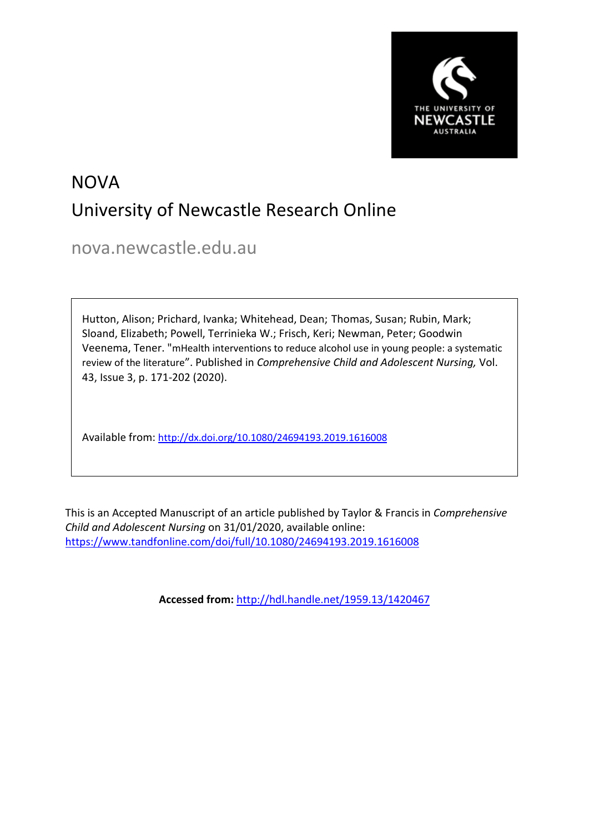

# NOVA University of Newcastle Research Online

nova.newcastle.edu.au

Hutton, Alison; Prichard, Ivanka; Whitehead, Dean; Thomas, Susan; Rubin, Mark; Sloand, Elizabeth; Powell, Terrinieka W.; Frisch, Keri; Newman, Peter; Goodwin Veenema, Tener. "mHealth interventions to reduce alcohol use in young people: a systematic review of the literature". Published in *Comprehensive Child and Adolescent Nursing,* Vol. 43, Issue 3, p. 171-202 (2020).

Available from: <http://dx.doi.org/10.1080/24694193.2019.1616008>

This is an Accepted Manuscript of an article published by Taylor & Francis in *Comprehensive Child and Adolescent Nursing* on 31/01/2020, available online: <https://www.tandfonline.com/doi/full/10.1080/24694193.2019.1616008>

**Accessed from:** <http://hdl.handle.net/1959.13/1420467>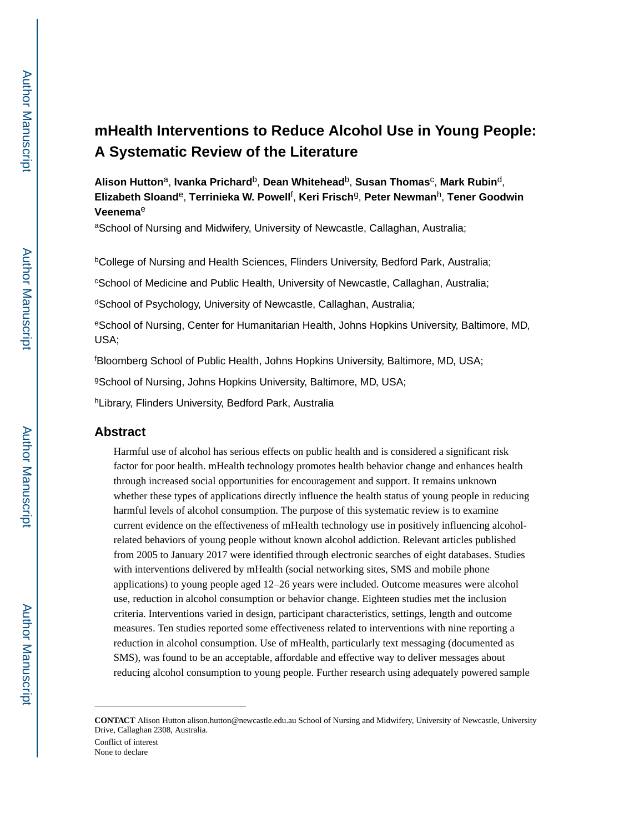# **mHealth Interventions to Reduce Alcohol Use in Young People: A Systematic Review of the Literature**

**Alison Hutton**a, **Ivanka Prichard**b, **Dean Whitehead**b, **Susan Thomas**<sup>c</sup> , **Mark Rubin**d, **Elizabeth Sloand**e, **Terrinieka W. Powell**<sup>f</sup> , **Keri Frisch**g, **Peter Newman**h, **Tener Goodwin Veenema**<sup>e</sup>

aSchool of Nursing and Midwifery, University of Newcastle, Callaghan, Australia;

**bCollege of Nursing and Health Sciences, Flinders University, Bedford Park, Australia;** 

<sup>c</sup>School of Medicine and Public Health, University of Newcastle, Callaghan, Australia;

dSchool of Psychology, University of Newcastle, Callaghan, Australia;

<sup>e</sup>School of Nursing, Center for Humanitarian Health, Johns Hopkins University, Baltimore, MD, USA;

<sup>f</sup>Bloomberg School of Public Health, Johns Hopkins University, Baltimore, MD, USA;

<sup>g</sup>School of Nursing, Johns Hopkins University, Baltimore, MD, USA;

<sup>h</sup>Library, Flinders University, Bedford Park, Australia

# **Abstract**

Harmful use of alcohol has serious effects on public health and is considered a significant risk factor for poor health. mHealth technology promotes health behavior change and enhances health through increased social opportunities for encouragement and support. It remains unknown whether these types of applications directly influence the health status of young people in reducing harmful levels of alcohol consumption. The purpose of this systematic review is to examine current evidence on the effectiveness of mHealth technology use in positively influencing alcoholrelated behaviors of young people without known alcohol addiction. Relevant articles published from 2005 to January 2017 were identified through electronic searches of eight databases. Studies with interventions delivered by mHealth (social networking sites, SMS and mobile phone applications) to young people aged 12–26 years were included. Outcome measures were alcohol use, reduction in alcohol consumption or behavior change. Eighteen studies met the inclusion criteria. Interventions varied in design, participant characteristics, settings, length and outcome measures. Ten studies reported some effectiveness related to interventions with nine reporting a reduction in alcohol consumption. Use of mHealth, particularly text messaging (documented as SMS), was found to be an acceptable, affordable and effective way to deliver messages about reducing alcohol consumption to young people. Further research using adequately powered sample

**CONTACT** Alison Hutton alison.hutton@newcastle.edu.au School of Nursing and Midwifery, University of Newcastle, University Drive, Callaghan 2308, Australia. Conflict of interest None to declare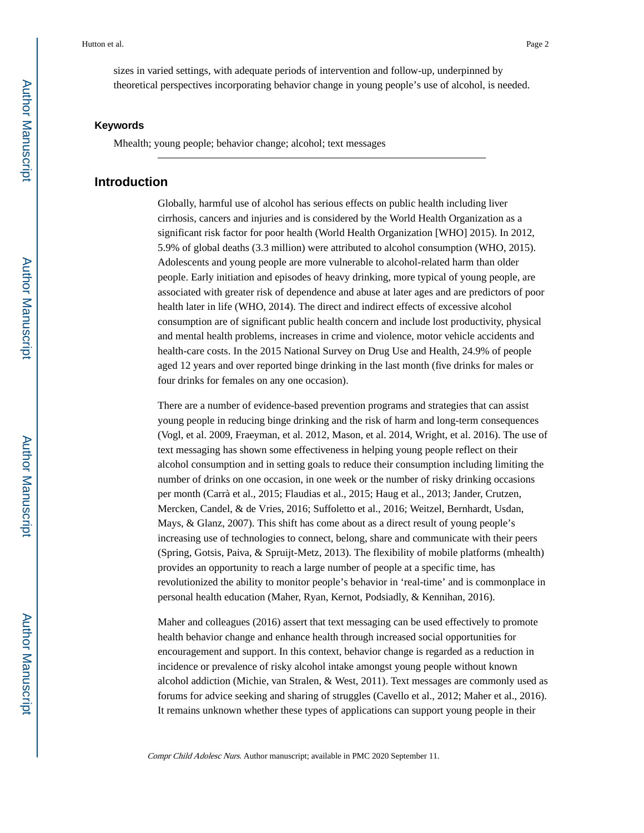sizes in varied settings, with adequate periods of intervention and follow-up, underpinned by theoretical perspectives incorporating behavior change in young people's use of alcohol, is needed.

#### **Keywords**

Mhealth; young people; behavior change; alcohol; text messages

# **Introduction**

Globally, harmful use of alcohol has serious effects on public health including liver cirrhosis, cancers and injuries and is considered by the World Health Organization as a significant risk factor for poor health (World Health Organization [WHO] 2015). In 2012, 5.9% of global deaths (3.3 million) were attributed to alcohol consumption (WHO, 2015). Adolescents and young people are more vulnerable to alcohol-related harm than older people. Early initiation and episodes of heavy drinking, more typical of young people, are associated with greater risk of dependence and abuse at later ages and are predictors of poor health later in life (WHO, 2014). The direct and indirect effects of excessive alcohol consumption are of significant public health concern and include lost productivity, physical and mental health problems, increases in crime and violence, motor vehicle accidents and health-care costs. In the 2015 National Survey on Drug Use and Health, 24.9% of people aged 12 years and over reported binge drinking in the last month (five drinks for males or four drinks for females on any one occasion).

There are a number of evidence-based prevention programs and strategies that can assist young people in reducing binge drinking and the risk of harm and long-term consequences (Vogl, et al. 2009, Fraeyman, et al. 2012, Mason, et al. 2014, Wright, et al. 2016). The use of text messaging has shown some effectiveness in helping young people reflect on their alcohol consumption and in setting goals to reduce their consumption including limiting the number of drinks on one occasion, in one week or the number of risky drinking occasions per month (Carrà et al., 2015; Flaudias et al., 2015; Haug et al., 2013; Jander, Crutzen, Mercken, Candel, & de Vries, 2016; Suffoletto et al., 2016; Weitzel, Bernhardt, Usdan, Mays, & Glanz, 2007). This shift has come about as a direct result of young people's increasing use of technologies to connect, belong, share and communicate with their peers (Spring, Gotsis, Paiva, & Spruijt-Metz, 2013). The flexibility of mobile platforms (mhealth) provides an opportunity to reach a large number of people at a specific time, has revolutionized the ability to monitor people's behavior in 'real-time' and is commonplace in personal health education (Maher, Ryan, Kernot, Podsiadly, & Kennihan, 2016).

Maher and colleagues (2016) assert that text messaging can be used effectively to promote health behavior change and enhance health through increased social opportunities for encouragement and support. In this context, behavior change is regarded as a reduction in incidence or prevalence of risky alcohol intake amongst young people without known alcohol addiction (Michie, van Stralen, & West, 2011). Text messages are commonly used as forums for advice seeking and sharing of struggles (Cavello et al., 2012; Maher et al., 2016). It remains unknown whether these types of applications can support young people in their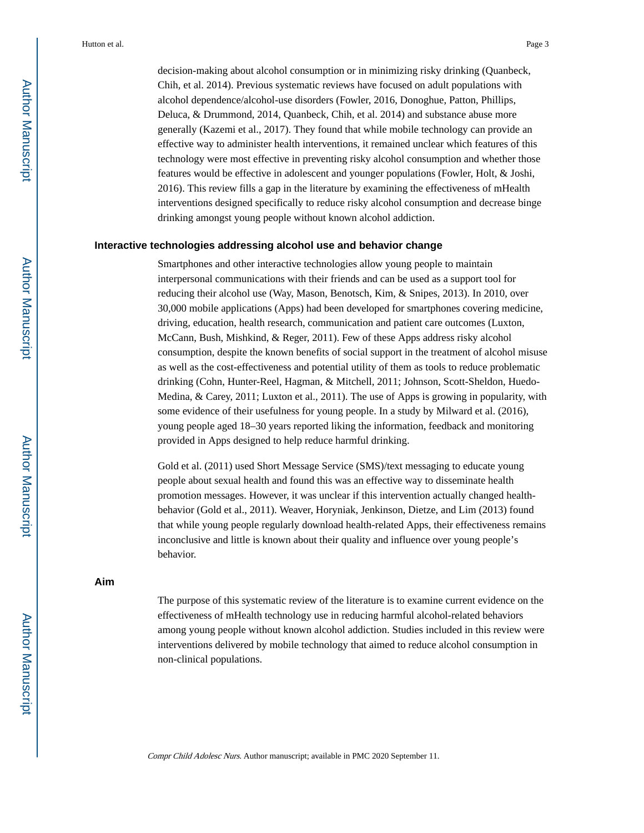decision-making about alcohol consumption or in minimizing risky drinking (Quanbeck, Chih, et al. 2014). Previous systematic reviews have focused on adult populations with alcohol dependence/alcohol-use disorders (Fowler, 2016, Donoghue, Patton, Phillips, Deluca, & Drummond, 2014, Quanbeck, Chih, et al. 2014) and substance abuse more generally (Kazemi et al., 2017). They found that while mobile technology can provide an effective way to administer health interventions, it remained unclear which features of this technology were most effective in preventing risky alcohol consumption and whether those features would be effective in adolescent and younger populations (Fowler, Holt, & Joshi, 2016). This review fills a gap in the literature by examining the effectiveness of mHealth interventions designed specifically to reduce risky alcohol consumption and decrease binge drinking amongst young people without known alcohol addiction.

#### **Interactive technologies addressing alcohol use and behavior change**

Smartphones and other interactive technologies allow young people to maintain interpersonal communications with their friends and can be used as a support tool for reducing their alcohol use (Way, Mason, Benotsch, Kim, & Snipes, 2013). In 2010, over 30,000 mobile applications (Apps) had been developed for smartphones covering medicine, driving, education, health research, communication and patient care outcomes (Luxton, McCann, Bush, Mishkind, & Reger, 2011). Few of these Apps address risky alcohol consumption, despite the known benefits of social support in the treatment of alcohol misuse as well as the cost-effectiveness and potential utility of them as tools to reduce problematic drinking (Cohn, Hunter-Reel, Hagman, & Mitchell, 2011; Johnson, Scott-Sheldon, Huedo-Medina, & Carey, 2011; Luxton et al., 2011). The use of Apps is growing in popularity, with some evidence of their usefulness for young people. In a study by Milward et al. (2016), young people aged 18–30 years reported liking the information, feedback and monitoring provided in Apps designed to help reduce harmful drinking.

Gold et al. (2011) used Short Message Service (SMS)/text messaging to educate young people about sexual health and found this was an effective way to disseminate health promotion messages. However, it was unclear if this intervention actually changed healthbehavior (Gold et al., 2011). Weaver, Horyniak, Jenkinson, Dietze, and Lim (2013) found that while young people regularly download health-related Apps, their effectiveness remains inconclusive and little is known about their quality and influence over young people's behavior.

#### **Aim**

The purpose of this systematic review of the literature is to examine current evidence on the effectiveness of mHealth technology use in reducing harmful alcohol-related behaviors among young people without known alcohol addiction. Studies included in this review were interventions delivered by mobile technology that aimed to reduce alcohol consumption in non-clinical populations.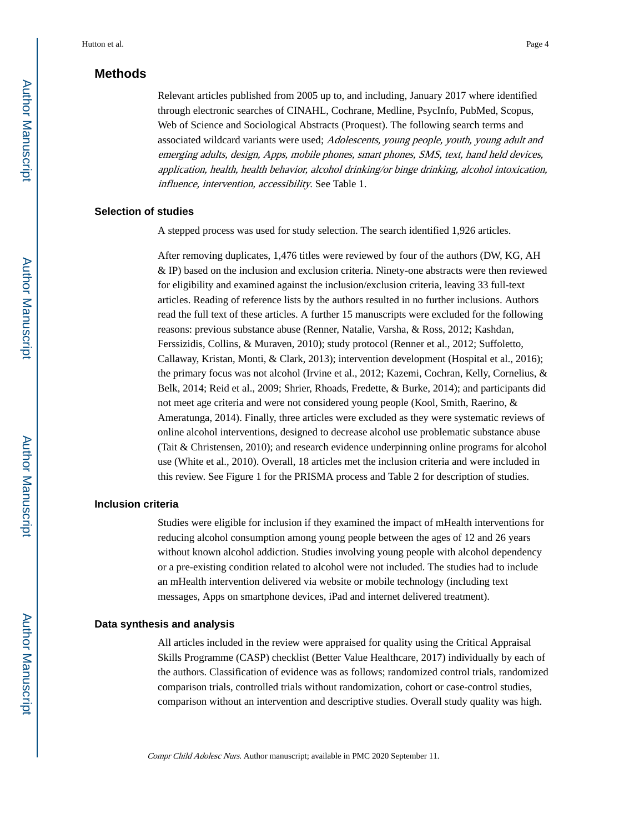# **Methods**

Relevant articles published from 2005 up to, and including, January 2017 where identified through electronic searches of CINAHL, Cochrane, Medline, PsycInfo, PubMed, Scopus, Web of Science and Sociological Abstracts (Proquest). The following search terms and associated wildcard variants were used; Adolescents, young people, youth, young adult and emerging adults, design, Apps, mobile phones, smart phones, SMS, text, hand held devices, application, health, health behavior, alcohol drinking/or binge drinking, alcohol intoxication, influence, intervention, accessibility. See Table 1.

# **Selection of studies**

A stepped process was used for study selection. The search identified 1,926 articles.

After removing duplicates, 1,476 titles were reviewed by four of the authors (DW, KG, AH & IP) based on the inclusion and exclusion criteria. Ninety-one abstracts were then reviewed for eligibility and examined against the inclusion/exclusion criteria, leaving 33 full-text articles. Reading of reference lists by the authors resulted in no further inclusions. Authors read the full text of these articles. A further 15 manuscripts were excluded for the following reasons: previous substance abuse (Renner, Natalie, Varsha, & Ross, 2012; Kashdan, Ferssizidis, Collins, & Muraven, 2010); study protocol (Renner et al., 2012; Suffoletto, Callaway, Kristan, Monti, & Clark, 2013); intervention development (Hospital et al., 2016); the primary focus was not alcohol (Irvine et al., 2012; Kazemi, Cochran, Kelly, Cornelius, & Belk, 2014; Reid et al., 2009; Shrier, Rhoads, Fredette, & Burke, 2014); and participants did not meet age criteria and were not considered young people (Kool, Smith, Raerino, & Ameratunga, 2014). Finally, three articles were excluded as they were systematic reviews of online alcohol interventions, designed to decrease alcohol use problematic substance abuse (Tait & Christensen, 2010); and research evidence underpinning online programs for alcohol use (White et al., 2010). Overall, 18 articles met the inclusion criteria and were included in this review. See Figure 1 for the PRISMA process and Table 2 for description of studies.

#### **Inclusion criteria**

Studies were eligible for inclusion if they examined the impact of mHealth interventions for reducing alcohol consumption among young people between the ages of 12 and 26 years without known alcohol addiction. Studies involving young people with alcohol dependency or a pre-existing condition related to alcohol were not included. The studies had to include an mHealth intervention delivered via website or mobile technology (including text messages, Apps on smartphone devices, iPad and internet delivered treatment).

#### **Data synthesis and analysis**

All articles included in the review were appraised for quality using the Critical Appraisal Skills Programme (CASP) checklist (Better Value Healthcare, 2017) individually by each of the authors. Classification of evidence was as follows; randomized control trials, randomized comparison trials, controlled trials without randomization, cohort or case-control studies, comparison without an intervention and descriptive studies. Overall study quality was high.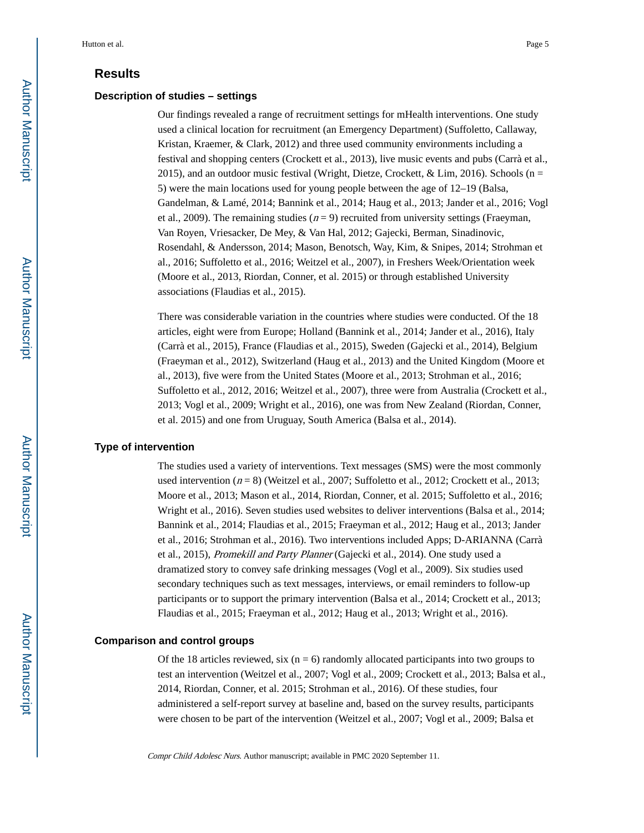# **Results**

#### **Description of studies – settings**

Our findings revealed a range of recruitment settings for mHealth interventions. One study used a clinical location for recruitment (an Emergency Department) (Suffoletto, Callaway, Kristan, Kraemer, & Clark, 2012) and three used community environments including a festival and shopping centers (Crockett et al., 2013), live music events and pubs (Carrà et al., 2015), and an outdoor music festival (Wright, Dietze, Crockett, & Lim, 2016). Schools (n = 5) were the main locations used for young people between the age of 12–19 (Balsa, Gandelman, & Lamé, 2014; Bannink et al., 2014; Haug et al., 2013; Jander et al., 2016; Vogl et al., 2009). The remaining studies  $(n = 9)$  recruited from university settings (Fraeyman, Van Royen, Vriesacker, De Mey, & Van Hal, 2012; Gajecki, Berman, Sinadinovic, Rosendahl, & Andersson, 2014; Mason, Benotsch, Way, Kim, & Snipes, 2014; Strohman et al., 2016; Suffoletto et al., 2016; Weitzel et al., 2007), in Freshers Week/Orientation week (Moore et al., 2013, Riordan, Conner, et al. 2015) or through established University associations (Flaudias et al., 2015).

There was considerable variation in the countries where studies were conducted. Of the 18 articles, eight were from Europe; Holland (Bannink et al., 2014; Jander et al., 2016), Italy (Carrà et al., 2015), France (Flaudias et al., 2015), Sweden (Gajecki et al., 2014), Belgium (Fraeyman et al., 2012), Switzerland (Haug et al., 2013) and the United Kingdom (Moore et al., 2013), five were from the United States (Moore et al., 2013; Strohman et al., 2016; Suffoletto et al., 2012, 2016; Weitzel et al., 2007), three were from Australia (Crockett et al., 2013; Vogl et al., 2009; Wright et al., 2016), one was from New Zealand (Riordan, Conner, et al. 2015) and one from Uruguay, South America (Balsa et al., 2014).

# **Type of intervention**

The studies used a variety of interventions. Text messages (SMS) were the most commonly used intervention  $(n = 8)$  (Weitzel et al., 2007; Suffoletto et al., 2012; Crockett et al., 2013; Moore et al., 2013; Mason et al., 2014, Riordan, Conner, et al. 2015; Suffoletto et al., 2016; Wright et al., 2016). Seven studies used websites to deliver interventions (Balsa et al., 2014; Bannink et al., 2014; Flaudias et al., 2015; Fraeyman et al., 2012; Haug et al., 2013; Jander et al., 2016; Strohman et al., 2016). Two interventions included Apps; D-ARIANNA (Carrà et al., 2015), Promekill and Party Planner (Gajecki et al., 2014). One study used a dramatized story to convey safe drinking messages (Vogl et al., 2009). Six studies used secondary techniques such as text messages, interviews, or email reminders to follow-up participants or to support the primary intervention (Balsa et al., 2014; Crockett et al., 2013; Flaudias et al., 2015; Fraeyman et al., 2012; Haug et al., 2013; Wright et al., 2016).

# **Comparison and control groups**

Of the 18 articles reviewed, six ( $n = 6$ ) randomly allocated participants into two groups to test an intervention (Weitzel et al., 2007; Vogl et al., 2009; Crockett et al., 2013; Balsa et al., 2014, Riordan, Conner, et al. 2015; Strohman et al., 2016). Of these studies, four administered a self-report survey at baseline and, based on the survey results, participants were chosen to be part of the intervention (Weitzel et al., 2007; Vogl et al., 2009; Balsa et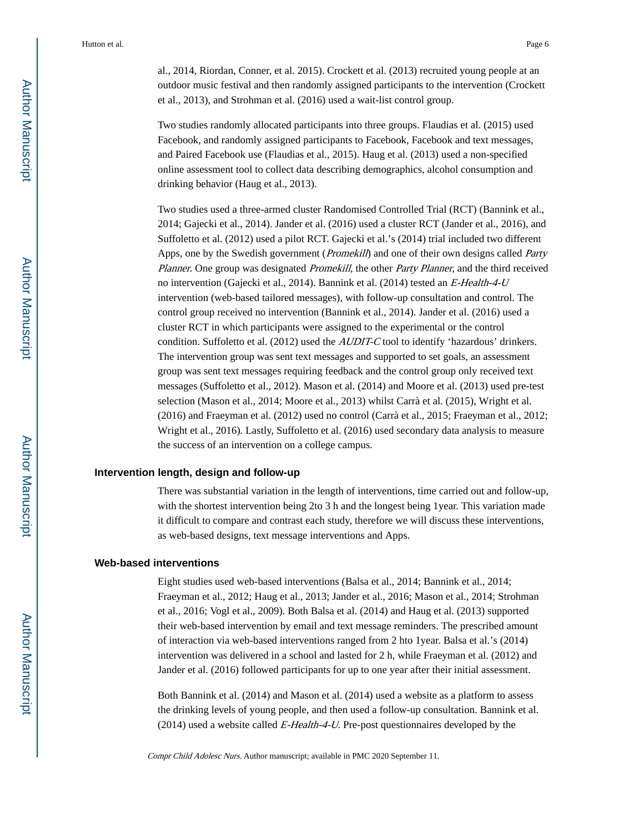al., 2014, Riordan, Conner, et al. 2015). Crockett et al. (2013) recruited young people at an outdoor music festival and then randomly assigned participants to the intervention (Crockett et al., 2013), and Strohman et al. (2016) used a wait-list control group.

Two studies randomly allocated participants into three groups. Flaudias et al. (2015) used Facebook, and randomly assigned participants to Facebook, Facebook and text messages, and Paired Facebook use (Flaudias et al., 2015). Haug et al. (2013) used a non-specified online assessment tool to collect data describing demographics, alcohol consumption and drinking behavior (Haug et al., 2013).

Two studies used a three-armed cluster Randomised Controlled Trial (RCT) (Bannink et al., 2014; Gajecki et al., 2014). Jander et al. (2016) used a cluster RCT (Jander et al., 2016), and Suffoletto et al. (2012) used a pilot RCT. Gajecki et al.'s (2014) trial included two different Apps, one by the Swedish government (Promekill) and one of their own designs called Party Planner. One group was designated *Promekill*, the other *Party Planner*, and the third received no intervention (Gajecki et al., 2014). Bannink et al. (2014) tested an E-Health-4-U intervention (web-based tailored messages), with follow-up consultation and control. The control group received no intervention (Bannink et al., 2014). Jander et al. (2016) used a cluster RCT in which participants were assigned to the experimental or the control condition. Suffoletto et al. (2012) used the AUDIT-C tool to identify 'hazardous' drinkers. The intervention group was sent text messages and supported to set goals, an assessment group was sent text messages requiring feedback and the control group only received text messages (Suffoletto et al., 2012). Mason et al. (2014) and Moore et al. (2013) used pre-test selection (Mason et al., 2014; Moore et al., 2013) whilst Carrà et al. (2015), Wright et al. (2016) and Fraeyman et al. (2012) used no control (Carrà et al., 2015; Fraeyman et al., 2012; Wright et al., 2016). Lastly, Suffoletto et al. (2016) used secondary data analysis to measure the success of an intervention on a college campus.

#### **Intervention length, design and follow-up**

There was substantial variation in the length of interventions, time carried out and follow-up, with the shortest intervention being 2to 3 h and the longest being 1year. This variation made it difficult to compare and contrast each study, therefore we will discuss these interventions, as web-based designs, text message interventions and Apps.

#### **Web-based interventions**

Eight studies used web-based interventions (Balsa et al., 2014; Bannink et al., 2014; Fraeyman et al., 2012; Haug et al., 2013; Jander et al., 2016; Mason et al., 2014; Strohman et al., 2016; Vogl et al., 2009). Both Balsa et al. (2014) and Haug et al. (2013) supported their web-based intervention by email and text message reminders. The prescribed amount of interaction via web-based interventions ranged from 2 hto 1year. Balsa et al.'s (2014) intervention was delivered in a school and lasted for 2 h, while Fraeyman et al. (2012) and Jander et al. (2016) followed participants for up to one year after their initial assessment.

Both Bannink et al. (2014) and Mason et al. (2014) used a website as a platform to assess the drinking levels of young people, and then used a follow-up consultation. Bannink et al.  $(2014)$  used a website called *E-Health-4-U*. Pre-post questionnaires developed by the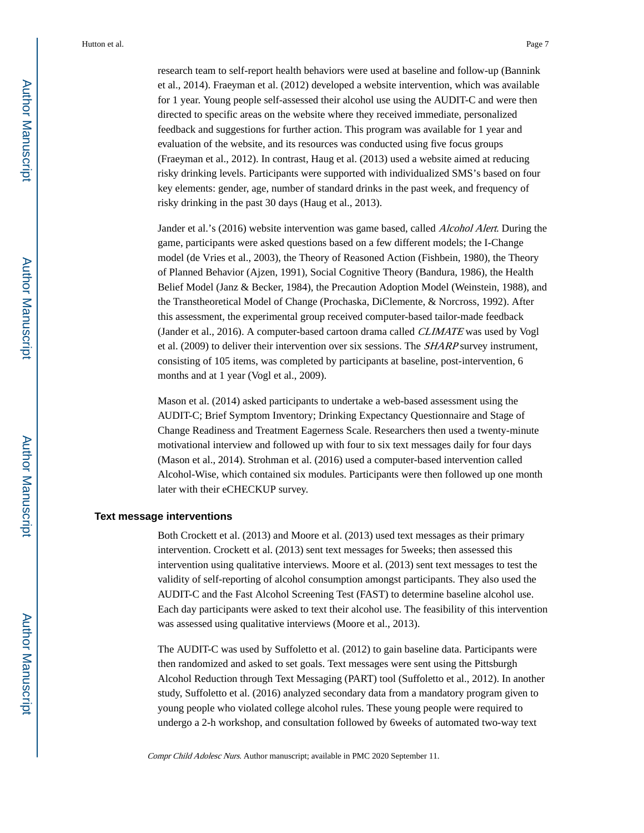research team to self-report health behaviors were used at baseline and follow-up (Bannink et al., 2014). Fraeyman et al. (2012) developed a website intervention, which was available for 1 year. Young people self-assessed their alcohol use using the AUDIT-C and were then directed to specific areas on the website where they received immediate, personalized feedback and suggestions for further action. This program was available for 1 year and evaluation of the website, and its resources was conducted using five focus groups (Fraeyman et al., 2012). In contrast, Haug et al. (2013) used a website aimed at reducing risky drinking levels. Participants were supported with individualized SMS's based on four key elements: gender, age, number of standard drinks in the past week, and frequency of risky drinking in the past 30 days (Haug et al., 2013).

Jander et al.'s (2016) website intervention was game based, called Alcohol Alert. During the game, participants were asked questions based on a few different models; the I-Change model (de Vries et al., 2003), the Theory of Reasoned Action (Fishbein, 1980), the Theory of Planned Behavior (Ajzen, 1991), Social Cognitive Theory (Bandura, 1986), the Health Belief Model (Janz & Becker, 1984), the Precaution Adoption Model (Weinstein, 1988), and the Transtheoretical Model of Change (Prochaska, DiClemente, & Norcross, 1992). After this assessment, the experimental group received computer-based tailor-made feedback (Jander et al., 2016). A computer-based cartoon drama called CLIMATE was used by Vogl et al. (2009) to deliver their intervention over six sessions. The SHARP survey instrument, consisting of 105 items, was completed by participants at baseline, post-intervention, 6 months and at 1 year (Vogl et al., 2009).

Mason et al. (2014) asked participants to undertake a web-based assessment using the AUDIT-C; Brief Symptom Inventory; Drinking Expectancy Questionnaire and Stage of Change Readiness and Treatment Eagerness Scale. Researchers then used a twenty-minute motivational interview and followed up with four to six text messages daily for four days (Mason et al., 2014). Strohman et al. (2016) used a computer-based intervention called Alcohol-Wise, which contained six modules. Participants were then followed up one month later with their eCHECKUP survey.

#### **Text message interventions**

Both Crockett et al. (2013) and Moore et al. (2013) used text messages as their primary intervention. Crockett et al. (2013) sent text messages for 5weeks; then assessed this intervention using qualitative interviews. Moore et al. (2013) sent text messages to test the validity of self-reporting of alcohol consumption amongst participants. They also used the AUDIT-C and the Fast Alcohol Screening Test (FAST) to determine baseline alcohol use. Each day participants were asked to text their alcohol use. The feasibility of this intervention was assessed using qualitative interviews (Moore et al., 2013).

The AUDIT-C was used by Suffoletto et al. (2012) to gain baseline data. Participants were then randomized and asked to set goals. Text messages were sent using the Pittsburgh Alcohol Reduction through Text Messaging (PART) tool (Suffoletto et al., 2012). In another study, Suffoletto et al. (2016) analyzed secondary data from a mandatory program given to young people who violated college alcohol rules. These young people were required to undergo a 2-h workshop, and consultation followed by 6weeks of automated two-way text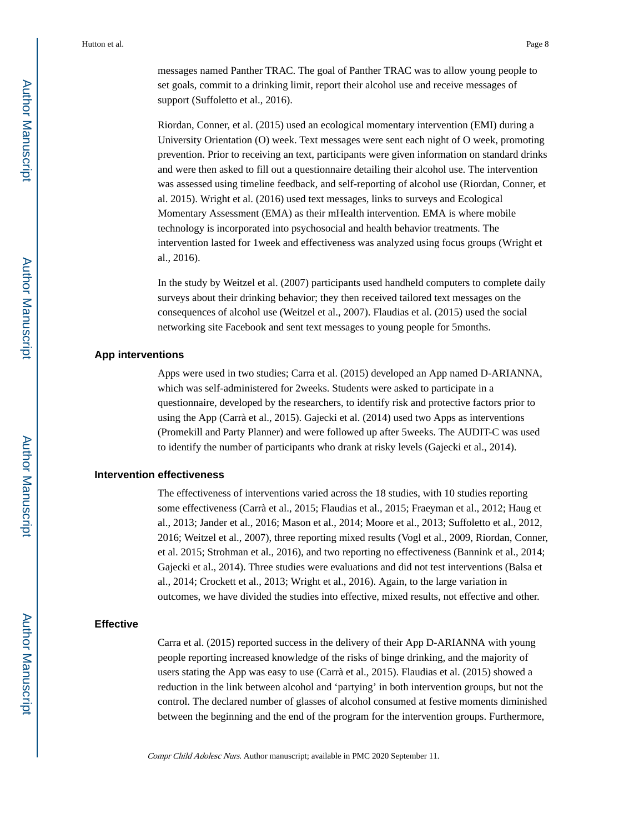messages named Panther TRAC. The goal of Panther TRAC was to allow young people to set goals, commit to a drinking limit, report their alcohol use and receive messages of support (Suffoletto et al., 2016).

Riordan, Conner, et al. (2015) used an ecological momentary intervention (EMI) during a University Orientation (O) week. Text messages were sent each night of O week, promoting prevention. Prior to receiving an text, participants were given information on standard drinks and were then asked to fill out a questionnaire detailing their alcohol use. The intervention was assessed using timeline feedback, and self-reporting of alcohol use (Riordan, Conner, et al. 2015). Wright et al. (2016) used text messages, links to surveys and Ecological Momentary Assessment (EMA) as their mHealth intervention. EMA is where mobile technology is incorporated into psychosocial and health behavior treatments. The intervention lasted for 1week and effectiveness was analyzed using focus groups (Wright et al., 2016).

In the study by Weitzel et al. (2007) participants used handheld computers to complete daily surveys about their drinking behavior; they then received tailored text messages on the consequences of alcohol use (Weitzel et al., 2007). Flaudias et al. (2015) used the social networking site Facebook and sent text messages to young people for 5months.

#### **App interventions**

Apps were used in two studies; Carra et al. (2015) developed an App named D-ARIANNA, which was self-administered for 2weeks. Students were asked to participate in a questionnaire, developed by the researchers, to identify risk and protective factors prior to using the App (Carrà et al., 2015). Gajecki et al. (2014) used two Apps as interventions (Promekill and Party Planner) and were followed up after 5weeks. The AUDIT-C was used to identify the number of participants who drank at risky levels (Gajecki et al., 2014).

# **Intervention effectiveness**

The effectiveness of interventions varied across the 18 studies, with 10 studies reporting some effectiveness (Carrà et al., 2015; Flaudias et al., 2015; Fraeyman et al., 2012; Haug et al., 2013; Jander et al., 2016; Mason et al., 2014; Moore et al., 2013; Suffoletto et al., 2012, 2016; Weitzel et al., 2007), three reporting mixed results (Vogl et al., 2009, Riordan, Conner, et al. 2015; Strohman et al., 2016), and two reporting no effectiveness (Bannink et al., 2014; Gajecki et al., 2014). Three studies were evaluations and did not test interventions (Balsa et al., 2014; Crockett et al., 2013; Wright et al., 2016). Again, to the large variation in outcomes, we have divided the studies into effective, mixed results, not effective and other.

### **Effective**

Carra et al. (2015) reported success in the delivery of their App D-ARIANNA with young people reporting increased knowledge of the risks of binge drinking, and the majority of users stating the App was easy to use (Carrà et al., 2015). Flaudias et al. (2015) showed a reduction in the link between alcohol and 'partying' in both intervention groups, but not the control. The declared number of glasses of alcohol consumed at festive moments diminished between the beginning and the end of the program for the intervention groups. Furthermore,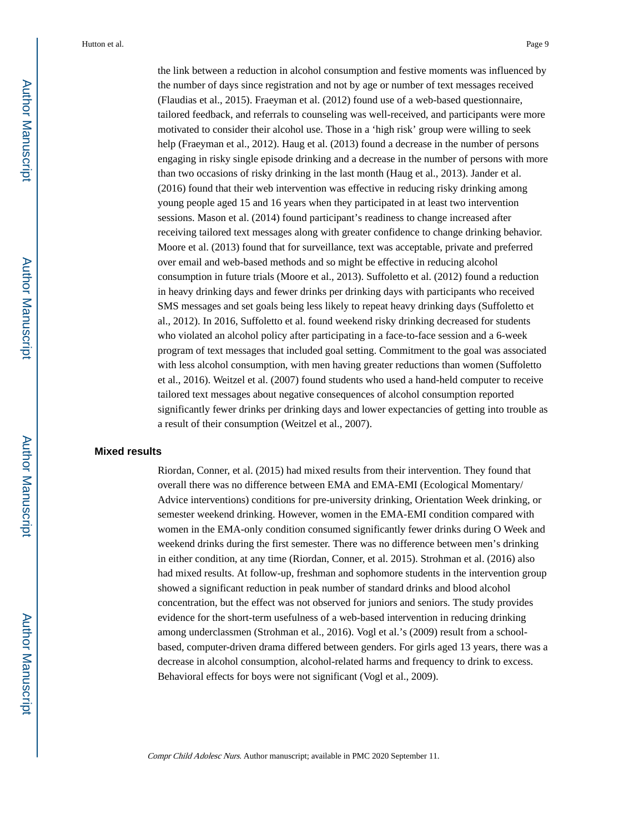the link between a reduction in alcohol consumption and festive moments was influenced by the number of days since registration and not by age or number of text messages received (Flaudias et al., 2015). Fraeyman et al. (2012) found use of a web-based questionnaire, tailored feedback, and referrals to counseling was well-received, and participants were more motivated to consider their alcohol use. Those in a 'high risk' group were willing to seek help (Fraeyman et al., 2012). Haug et al. (2013) found a decrease in the number of persons engaging in risky single episode drinking and a decrease in the number of persons with more than two occasions of risky drinking in the last month (Haug et al., 2013). Jander et al. (2016) found that their web intervention was effective in reducing risky drinking among young people aged 15 and 16 years when they participated in at least two intervention sessions. Mason et al. (2014) found participant's readiness to change increased after receiving tailored text messages along with greater confidence to change drinking behavior. Moore et al. (2013) found that for surveillance, text was acceptable, private and preferred over email and web-based methods and so might be effective in reducing alcohol consumption in future trials (Moore et al., 2013). Suffoletto et al. (2012) found a reduction in heavy drinking days and fewer drinks per drinking days with participants who received SMS messages and set goals being less likely to repeat heavy drinking days (Suffoletto et al., 2012). In 2016, Suffoletto et al. found weekend risky drinking decreased for students who violated an alcohol policy after participating in a face-to-face session and a 6-week program of text messages that included goal setting. Commitment to the goal was associated with less alcohol consumption, with men having greater reductions than women (Suffoletto et al., 2016). Weitzel et al. (2007) found students who used a hand-held computer to receive tailored text messages about negative consequences of alcohol consumption reported significantly fewer drinks per drinking days and lower expectancies of getting into trouble as a result of their consumption (Weitzel et al., 2007).

#### **Mixed results**

Riordan, Conner, et al. (2015) had mixed results from their intervention. They found that overall there was no difference between EMA and EMA-EMI (Ecological Momentary/ Advice interventions) conditions for pre-university drinking, Orientation Week drinking, or semester weekend drinking. However, women in the EMA-EMI condition compared with women in the EMA-only condition consumed significantly fewer drinks during O Week and weekend drinks during the first semester. There was no difference between men's drinking in either condition, at any time (Riordan, Conner, et al. 2015). Strohman et al. (2016) also had mixed results. At follow-up, freshman and sophomore students in the intervention group showed a significant reduction in peak number of standard drinks and blood alcohol concentration, but the effect was not observed for juniors and seniors. The study provides evidence for the short-term usefulness of a web-based intervention in reducing drinking among underclassmen (Strohman et al., 2016). Vogl et al.'s (2009) result from a schoolbased, computer-driven drama differed between genders. For girls aged 13 years, there was a decrease in alcohol consumption, alcohol-related harms and frequency to drink to excess. Behavioral effects for boys were not significant (Vogl et al., 2009).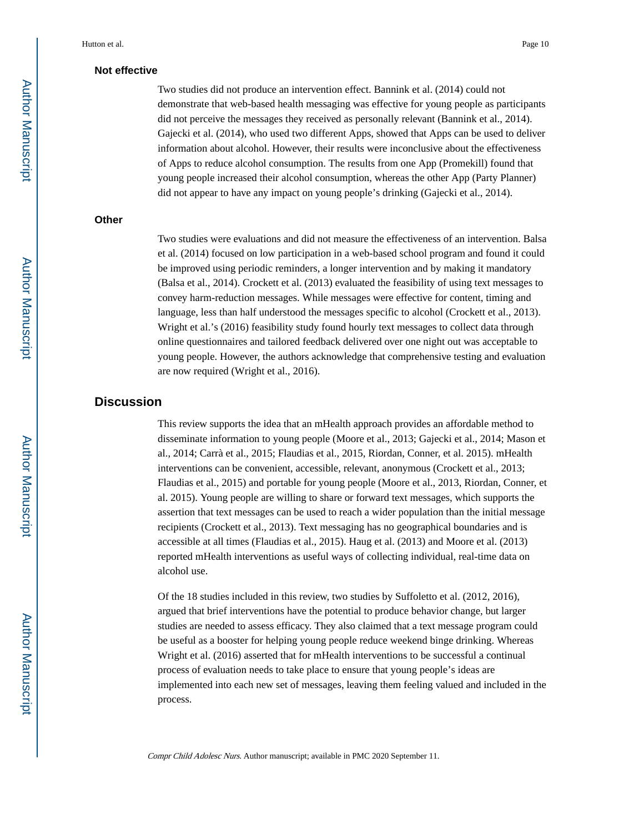#### **Not effective**

Two studies did not produce an intervention effect. Bannink et al. (2014) could not demonstrate that web-based health messaging was effective for young people as participants did not perceive the messages they received as personally relevant (Bannink et al., 2014). Gajecki et al. (2014), who used two different Apps, showed that Apps can be used to deliver information about alcohol. However, their results were inconclusive about the effectiveness of Apps to reduce alcohol consumption. The results from one App (Promekill) found that young people increased their alcohol consumption, whereas the other App (Party Planner) did not appear to have any impact on young people's drinking (Gajecki et al., 2014).

# **Other**

Two studies were evaluations and did not measure the effectiveness of an intervention. Balsa et al. (2014) focused on low participation in a web-based school program and found it could be improved using periodic reminders, a longer intervention and by making it mandatory (Balsa et al., 2014). Crockett et al. (2013) evaluated the feasibility of using text messages to convey harm-reduction messages. While messages were effective for content, timing and language, less than half understood the messages specific to alcohol (Crockett et al., 2013). Wright et al.'s (2016) feasibility study found hourly text messages to collect data through online questionnaires and tailored feedback delivered over one night out was acceptable to young people. However, the authors acknowledge that comprehensive testing and evaluation are now required (Wright et al., 2016).

# **Discussion**

This review supports the idea that an mHealth approach provides an affordable method to disseminate information to young people (Moore et al., 2013; Gajecki et al., 2014; Mason et al., 2014; Carrà et al., 2015; Flaudias et al., 2015, Riordan, Conner, et al. 2015). mHealth interventions can be convenient, accessible, relevant, anonymous (Crockett et al., 2013; Flaudias et al., 2015) and portable for young people (Moore et al., 2013, Riordan, Conner, et al. 2015). Young people are willing to share or forward text messages, which supports the assertion that text messages can be used to reach a wider population than the initial message recipients (Crockett et al., 2013). Text messaging has no geographical boundaries and is accessible at all times (Flaudias et al., 2015). Haug et al. (2013) and Moore et al. (2013) reported mHealth interventions as useful ways of collecting individual, real-time data on alcohol use.

Of the 18 studies included in this review, two studies by Suffoletto et al. (2012, 2016), argued that brief interventions have the potential to produce behavior change, but larger studies are needed to assess efficacy. They also claimed that a text message program could be useful as a booster for helping young people reduce weekend binge drinking. Whereas Wright et al. (2016) asserted that for mHealth interventions to be successful a continual process of evaluation needs to take place to ensure that young people's ideas are implemented into each new set of messages, leaving them feeling valued and included in the process.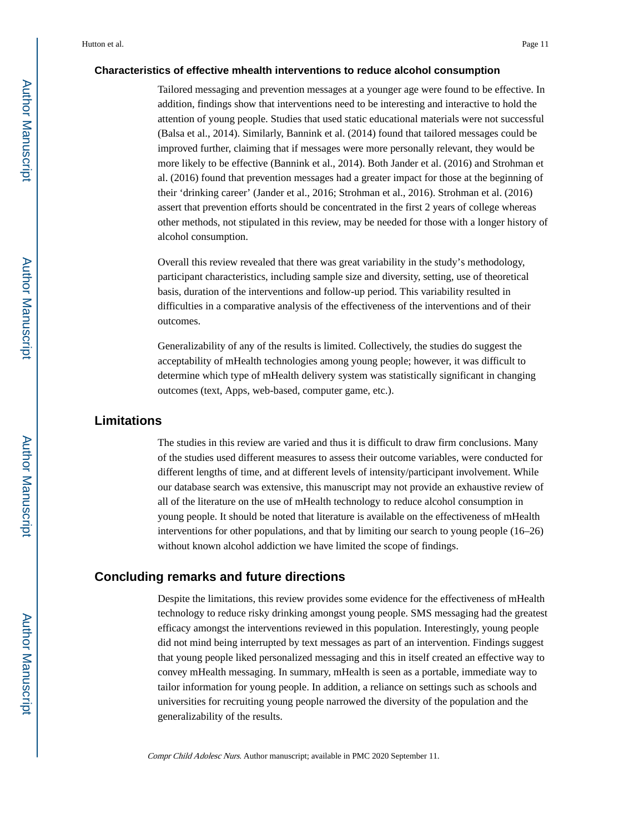#### **Characteristics of effective mhealth interventions to reduce alcohol consumption**

Tailored messaging and prevention messages at a younger age were found to be effective. In addition, findings show that interventions need to be interesting and interactive to hold the attention of young people. Studies that used static educational materials were not successful (Balsa et al., 2014). Similarly, Bannink et al. (2014) found that tailored messages could be improved further, claiming that if messages were more personally relevant, they would be more likely to be effective (Bannink et al., 2014). Both Jander et al. (2016) and Strohman et al. (2016) found that prevention messages had a greater impact for those at the beginning of their 'drinking career' (Jander et al., 2016; Strohman et al., 2016). Strohman et al. (2016) assert that prevention efforts should be concentrated in the first 2 years of college whereas other methods, not stipulated in this review, may be needed for those with a longer history of alcohol consumption.

Overall this review revealed that there was great variability in the study's methodology, participant characteristics, including sample size and diversity, setting, use of theoretical basis, duration of the interventions and follow-up period. This variability resulted in difficulties in a comparative analysis of the effectiveness of the interventions and of their outcomes.

Generalizability of any of the results is limited. Collectively, the studies do suggest the acceptability of mHealth technologies among young people; however, it was difficult to determine which type of mHealth delivery system was statistically significant in changing outcomes (text, Apps, web-based, computer game, etc.).

# **Limitations**

The studies in this review are varied and thus it is difficult to draw firm conclusions. Many of the studies used different measures to assess their outcome variables, were conducted for different lengths of time, and at different levels of intensity/participant involvement. While our database search was extensive, this manuscript may not provide an exhaustive review of all of the literature on the use of mHealth technology to reduce alcohol consumption in young people. It should be noted that literature is available on the effectiveness of mHealth interventions for other populations, and that by limiting our search to young people (16–26) without known alcohol addiction we have limited the scope of findings.

# **Concluding remarks and future directions**

Despite the limitations, this review provides some evidence for the effectiveness of mHealth technology to reduce risky drinking amongst young people. SMS messaging had the greatest efficacy amongst the interventions reviewed in this population. Interestingly, young people did not mind being interrupted by text messages as part of an intervention. Findings suggest that young people liked personalized messaging and this in itself created an effective way to convey mHealth messaging. In summary, mHealth is seen as a portable, immediate way to tailor information for young people. In addition, a reliance on settings such as schools and universities for recruiting young people narrowed the diversity of the population and the generalizability of the results.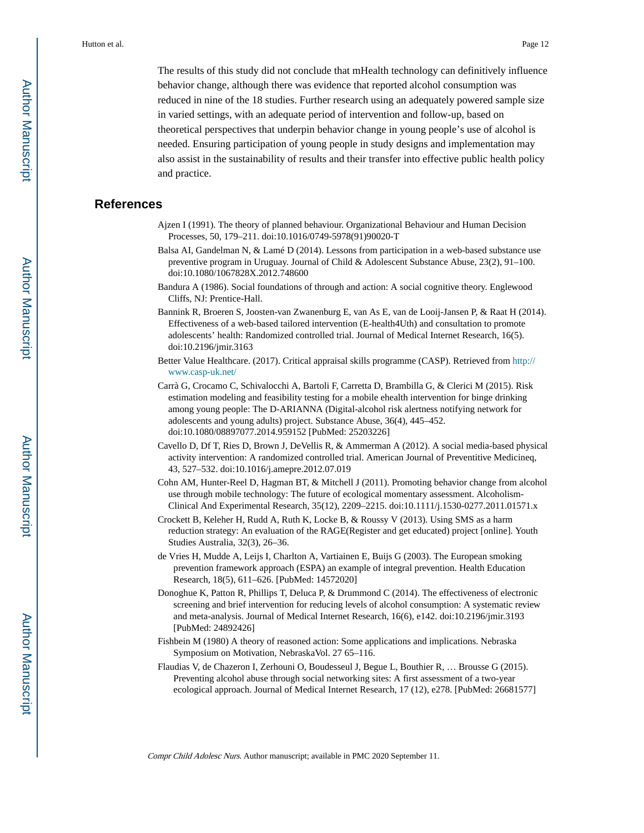The results of this study did not conclude that mHealth technology can definitively influence behavior change, although there was evidence that reported alcohol consumption was reduced in nine of the 18 studies. Further research using an adequately powered sample size in varied settings, with an adequate period of intervention and follow-up, based on theoretical perspectives that underpin behavior change in young people's use of alcohol is needed. Ensuring participation of young people in study designs and implementation may also assist in the sustainability of results and their transfer into effective public health policy and practice.

# **References**

- Ajzen I (1991). The theory of planned behaviour. Organizational Behaviour and Human Decision Processes, 50, 179–211. doi:10.1016/0749-5978(91)90020-T
- Balsa AI, Gandelman N, & Lamé D (2014). Lessons from participation in a web-based substance use preventive program in Uruguay. Journal of Child & Adolescent Substance Abuse, 23(2), 91–100. doi:10.1080/1067828X.2012.748600
- Bandura A (1986). Social foundations of through and action: A social cognitive theory. Englewood Cliffs, NJ: Prentice-Hall.
- Bannink R, Broeren S, Joosten-van Zwanenburg E, van As E, van de Looij-Jansen P, & Raat H (2014). Effectiveness of a web-based tailored intervention (E-health4Uth) and consultation to promote adolescents' health: Randomized controlled trial. Journal of Medical Internet Research, 16(5). doi:10.2196/jmir.3163
- Better Value Healthcare. (2017). Critical appraisal skills programme (CASP). Retrieved from [http://](http://www.casp-uk.net/) [www.casp-uk.net/](http://www.casp-uk.net/)
- Carrà G, Crocamo C, Schivalocchi A, Bartoli F, Carretta D, Brambilla G, & Clerici M (2015). Risk estimation modeling and feasibility testing for a mobile ehealth intervention for binge drinking among young people: The D-ARIANNA (Digital-alcohol risk alertness notifying network for adolescents and young adults) project. Substance Abuse, 36(4), 445–452. doi:10.1080/08897077.2014.959152 [PubMed: 25203226]
- Cavello D, Df T, Ries D, Brown J, DeVellis R, & Ammerman A (2012). A social media-based physical activity intervention: A randomized controlled trial. American Journal of Preventitive Medicineq, 43, 527–532. doi:10.1016/j.amepre.2012.07.019
- Cohn AM, Hunter-Reel D, Hagman BT, & Mitchell J (2011). Promoting behavior change from alcohol use through mobile technology: The future of ecological momentary assessment. Alcoholism-Clinical And Experimental Research, 35(12), 2209–2215. doi:10.1111/j.1530-0277.2011.01571.x
- Crockett B, Keleher H, Rudd A, Ruth K, Locke B, & Roussy V (2013). Using SMS as a harm reduction strategy: An evaluation of the RAGE(Register and get educated) project [online]. Youth Studies Australia, 32(3), 26–36.
- de Vries H, Mudde A, Leijs I, Charlton A, Vartiainen E, Buijs G (2003). The European smoking prevention framework approach (ESPA) an example of integral prevention. Health Education Research, 18(5), 611–626. [PubMed: 14572020]
- Donoghue K, Patton R, Phillips T, Deluca P, & Drummond C (2014). The effectiveness of electronic screening and brief intervention for reducing levels of alcohol consumption: A systematic review and meta-analysis. Journal of Medical Internet Research, 16(6), e142. doi:10.2196/jmir.3193 [PubMed: 24892426]
- Fishbein M (1980) A theory of reasoned action: Some applications and implications. Nebraska Symposium on Motivation, NebraskaVol. 27 65–116.
- Flaudias V, de Chazeron I, Zerhouni O, Boudesseul J, Begue L, Bouthier R, … Brousse G (2015). Preventing alcohol abuse through social networking sites: A first assessment of a two-year ecological approach. Journal of Medical Internet Research, 17 (12), e278. [PubMed: 26681577]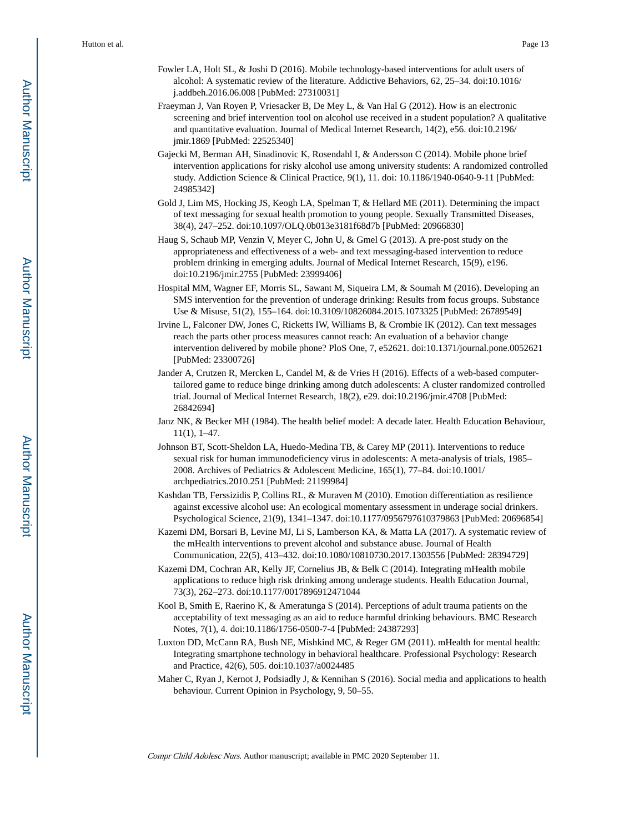- Fowler LA, Holt SL, & Joshi D (2016). Mobile technology-based interventions for adult users of alcohol: A systematic review of the literature. Addictive Behaviors, 62, 25–34. doi:10.1016/ j.addbeh.2016.06.008 [PubMed: 27310031]
- Fraeyman J, Van Royen P, Vriesacker B, De Mey L, & Van Hal G (2012). How is an electronic screening and brief intervention tool on alcohol use received in a student population? A qualitative and quantitative evaluation. Journal of Medical Internet Research, 14(2), e56. doi:10.2196/ jmir.1869 [PubMed: 22525340]
- Gajecki M, Berman AH, Sinadinovic K, Rosendahl I, & Andersson C (2014). Mobile phone brief intervention applications for risky alcohol use among university students: A randomized controlled study. Addiction Science & Clinical Practice, 9(1), 11. doi: 10.1186/1940-0640-9-11 [PubMed: 24985342]
- Gold J, Lim MS, Hocking JS, Keogh LA, Spelman T, & Hellard ME (2011). Determining the impact of text messaging for sexual health promotion to young people. Sexually Transmitted Diseases, 38(4), 247–252. doi:10.1097/OLQ.0b013e3181f68d7b [PubMed: 20966830]
- Haug S, Schaub MP, Venzin V, Meyer C, John U, & Gmel G (2013). A pre-post study on the appropriateness and effectiveness of a web- and text messaging-based intervention to reduce problem drinking in emerging adults. Journal of Medical Internet Research, 15(9), e196. doi:10.2196/jmir.2755 [PubMed: 23999406]
- Hospital MM, Wagner EF, Morris SL, Sawant M, Siqueira LM, & Soumah M (2016). Developing an SMS intervention for the prevention of underage drinking: Results from focus groups. Substance Use & Misuse, 51(2), 155–164. doi:10.3109/10826084.2015.1073325 [PubMed: 26789549]
- Irvine L, Falconer DW, Jones C, Ricketts IW, Williams B, & Crombie IK (2012). Can text messages reach the parts other process measures cannot reach: An evaluation of a behavior change intervention delivered by mobile phone? PloS One, 7, e52621. doi:10.1371/journal.pone.0052621 [PubMed: 23300726]
- Jander A, Crutzen R, Mercken L, Candel M, & de Vries H (2016). Effects of a web-based computertailored game to reduce binge drinking among dutch adolescents: A cluster randomized controlled trial. Journal of Medical Internet Research, 18(2), e29. doi:10.2196/jmir.4708 [PubMed: 26842694]
- Janz NK, & Becker MH (1984). The health belief model: A decade later. Health Education Behaviour, 11(1), 1–47.
- Johnson BT, Scott-Sheldon LA, Huedo-Medina TB, & Carey MP (2011). Interventions to reduce sexual risk for human immunodeficiency virus in adolescents: A meta-analysis of trials, 1985– 2008. Archives of Pediatrics & Adolescent Medicine, 165(1), 77–84. doi:10.1001/ archpediatrics.2010.251 [PubMed: 21199984]
- Kashdan TB, Ferssizidis P, Collins RL, & Muraven M (2010). Emotion differentiation as resilience against excessive alcohol use: An ecological momentary assessment in underage social drinkers. Psychological Science, 21(9), 1341–1347. doi:10.1177/0956797610379863 [PubMed: 20696854]
- Kazemi DM, Borsari B, Levine MJ, Li S, Lamberson KA, & Matta LA (2017). A systematic review of the mHealth interventions to prevent alcohol and substance abuse. Journal of Health Communication, 22(5), 413–432. doi:10.1080/10810730.2017.1303556 [PubMed: 28394729]
- Kazemi DM, Cochran AR, Kelly JF, Cornelius JB, & Belk C (2014). Integrating mHealth mobile applications to reduce high risk drinking among underage students. Health Education Journal, 73(3), 262–273. doi:10.1177/0017896912471044
- Kool B, Smith E, Raerino K, & Ameratunga S (2014). Perceptions of adult trauma patients on the acceptability of text messaging as an aid to reduce harmful drinking behaviours. BMC Research Notes, 7(1), 4. doi:10.1186/1756-0500-7-4 [PubMed: 24387293]
- Luxton DD, McCann RA, Bush NE, Mishkind MC, & Reger GM (2011). mHealth for mental health: Integrating smartphone technology in behavioral healthcare. Professional Psychology: Research and Practice, 42(6), 505. doi:10.1037/a0024485
- Maher C, Ryan J, Kernot J, Podsiadly J, & Kennihan S (2016). Social media and applications to health behaviour. Current Opinion in Psychology, 9, 50–55.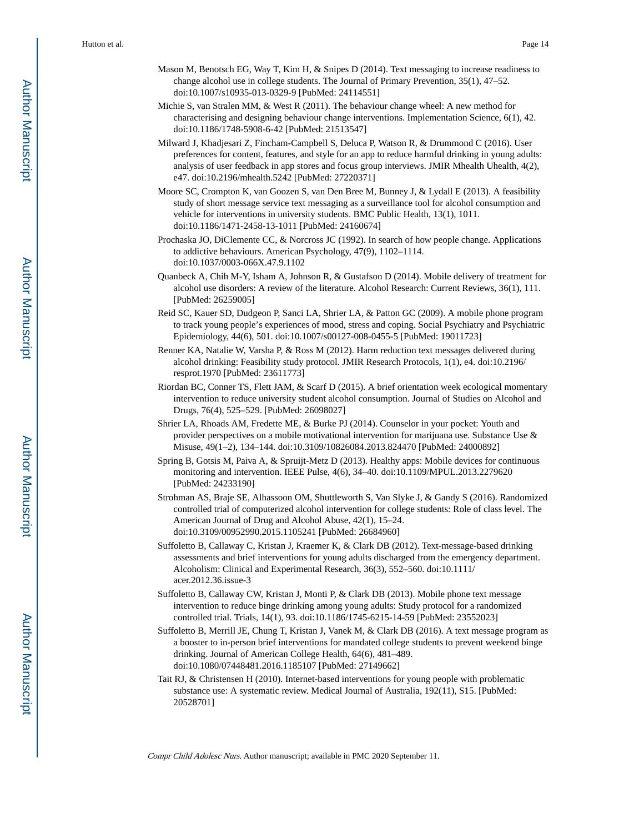- Mason M, Benotsch EG, Way T, Kim H, & Snipes D (2014). Text messaging to increase readiness to change alcohol use in college students. The Journal of Primary Prevention, 35(1), 47–52. doi:10.1007/s10935-013-0329-9 [PubMed: 24114551]
- Michie S, van Stralen MM, & West R (2011). The behaviour change wheel: A new method for characterising and designing behaviour change interventions. Implementation Science, 6(1), 42. doi:10.1186/1748-5908-6-42 [PubMed: 21513547]
- Milward J, Khadjesari Z, Fincham-Campbell S, Deluca P, Watson R, & Drummond C (2016). User preferences for content, features, and style for an app to reduce harmful drinking in young adults: analysis of user feedback in app stores and focus group interviews. JMIR Mhealth Uhealth, 4(2), e47. doi:10.2196/mhealth.5242 [PubMed: 27220371]
- Moore SC, Crompton K, van Goozen S, van Den Bree M, Bunney J, & Lydall E (2013). A feasibility study of short message service text messaging as a surveillance tool for alcohol consumption and vehicle for interventions in university students. BMC Public Health, 13(1), 1011. doi:10.1186/1471-2458-13-1011 [PubMed: 24160674]
- Prochaska JO, DiClemente CC, & Norcross JC (1992). In search of how people change. Applications to addictive behaviours. American Psychology, 47(9), 1102–1114. doi:10.1037/0003-066X.47.9.1102
- Quanbeck A, Chih M-Y, Isham A, Johnson R, & Gustafson D (2014). Mobile delivery of treatment for alcohol use disorders: A review of the literature. Alcohol Research: Current Reviews, 36(1), 111. [PubMed: 26259005]
- Reid SC, Kauer SD, Dudgeon P, Sanci LA, Shrier LA, & Patton GC (2009). A mobile phone program to track young people's experiences of mood, stress and coping. Social Psychiatry and Psychiatric Epidemiology, 44(6), 501. doi:10.1007/s00127-008-0455-5 [PubMed: 19011723]
- Renner KA, Natalie W, Varsha P, & Ross M (2012). Harm reduction text messages delivered during alcohol drinking: Feasibility study protocol. JMIR Research Protocols, 1(1), e4. doi:10.2196/ resprot.1970 [PubMed: 23611773]
- Riordan BC, Conner TS, Flett JAM, & Scarf D (2015). A brief orientation week ecological momentary intervention to reduce university student alcohol consumption. Journal of Studies on Alcohol and Drugs, 76(4), 525–529. [PubMed: 26098027]
- Shrier LA, Rhoads AM, Fredette ME, & Burke PJ (2014). Counselor in your pocket: Youth and provider perspectives on a mobile motivational intervention for marijuana use. Substance Use & Misuse, 49(1–2), 134–144. doi:10.3109/10826084.2013.824470 [PubMed: 24000892]
- Spring B, Gotsis M, Paiva A, & Spruijt-Metz D (2013). Healthy apps: Mobile devices for continuous monitoring and intervention. IEEE Pulse, 4(6), 34–40. doi:10.1109/MPUL.2013.2279620 [PubMed: 24233190]
- Strohman AS, Braje SE, Alhassoon OM, Shuttleworth S, Van Slyke J, & Gandy S (2016). Randomized controlled trial of computerized alcohol intervention for college students: Role of class level. The American Journal of Drug and Alcohol Abuse, 42(1), 15–24. doi:10.3109/00952990.2015.1105241 [PubMed: 26684960]
- Suffoletto B, Callaway C, Kristan J, Kraemer K, & Clark DB (2012). Text-message-based drinking assessments and brief interventions for young adults discharged from the emergency department. Alcoholism: Clinical and Experimental Research, 36(3), 552–560. doi:10.1111/ acer.2012.36.issue-3
- Suffoletto B, Callaway CW, Kristan J, Monti P, & Clark DB (2013). Mobile phone text message intervention to reduce binge drinking among young adults: Study protocol for a randomized controlled trial. Trials, 14(1), 93. doi:10.1186/1745-6215-14-59 [PubMed: 23552023]
- Suffoletto B, Merrill JE, Chung T, Kristan J, Vanek M, & Clark DB (2016). A text message program as a booster to in-person brief interventions for mandated college students to prevent weekend binge drinking. Journal of American College Health, 64(6), 481–489. doi:10.1080/07448481.2016.1185107 [PubMed: 27149662]
- Tait RJ, & Christensen H (2010). Internet-based interventions for young people with problematic substance use: A systematic review. Medical Journal of Australia, 192(11), S15. [PubMed: 20528701]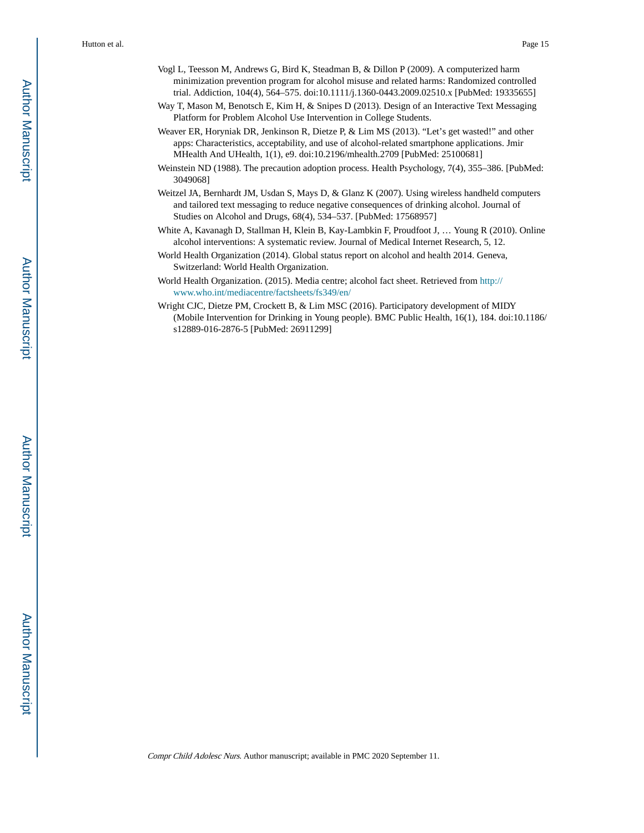- Vogl L, Teesson M, Andrews G, Bird K, Steadman B, & Dillon P (2009). A computerized harm minimization prevention program for alcohol misuse and related harms: Randomized controlled trial. Addiction, 104(4), 564–575. doi:10.1111/j.1360-0443.2009.02510.x [PubMed: 19335655]
- Way T, Mason M, Benotsch E, Kim H, & Snipes D (2013). Design of an Interactive Text Messaging Platform for Problem Alcohol Use Intervention in College Students.
- Weaver ER, Horyniak DR, Jenkinson R, Dietze P, & Lim MS (2013). "Let's get wasted!" and other apps: Characteristics, acceptability, and use of alcohol-related smartphone applications. Jmir MHealth And UHealth, 1(1), e9. doi:10.2196/mhealth.2709 [PubMed: 25100681]
- Weinstein ND (1988). The precaution adoption process. Health Psychology, 7(4), 355–386. [PubMed: 3049068]
- Weitzel JA, Bernhardt JM, Usdan S, Mays D, & Glanz K (2007). Using wireless handheld computers and tailored text messaging to reduce negative consequences of drinking alcohol. Journal of Studies on Alcohol and Drugs, 68(4), 534–537. [PubMed: 17568957]
- White A, Kavanagh D, Stallman H, Klein B, Kay-Lambkin F, Proudfoot J, … Young R (2010). Online alcohol interventions: A systematic review. Journal of Medical Internet Research, 5, 12.
- World Health Organization (2014). Global status report on alcohol and health 2014. Geneva, Switzerland: World Health Organization.
- World Health Organization. (2015). Media centre; alcohol fact sheet. Retrieved from [http://](http://www.who.int/mediacentre/factsheets/fs349/en/) [www.who.int/mediacentre/factsheets/fs349/en/](http://www.who.int/mediacentre/factsheets/fs349/en/)
- Wright CJC, Dietze PM, Crockett B, & Lim MSC (2016). Participatory development of MIDY (Mobile Intervention for Drinking in Young people). BMC Public Health, 16(1), 184. doi:10.1186/ s12889-016-2876-5 [PubMed: 26911299]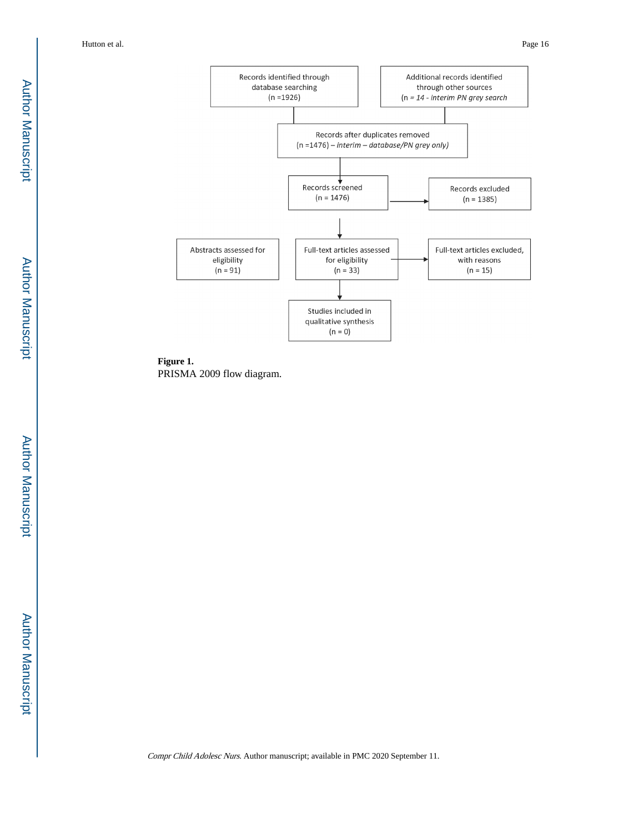

**Figure 1.**  PRISMA 2009 flow diagram.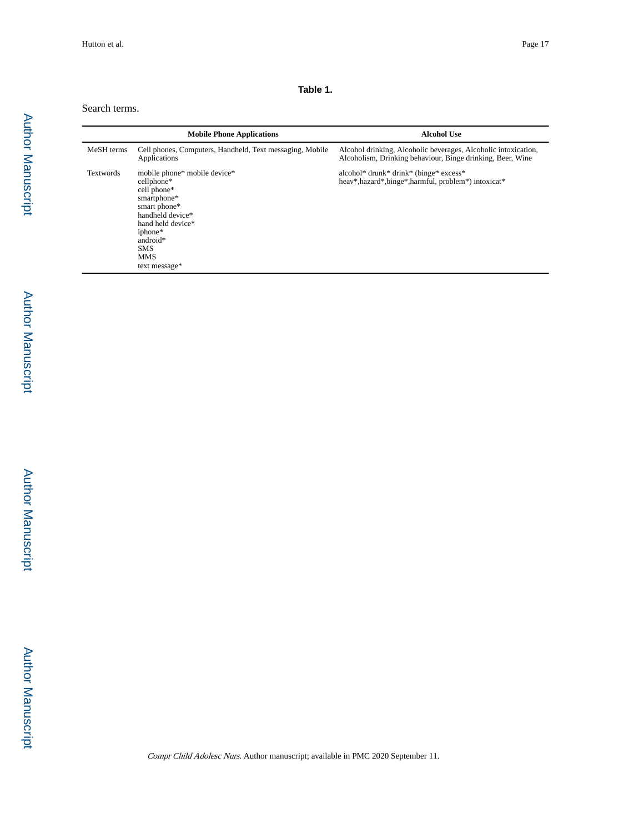# **Table 1.**

### Search terms.

|                  | <b>Mobile Phone Applications</b>                                                                                                                                                                      | <b>Alcohol Use</b>                                                                                                           |
|------------------|-------------------------------------------------------------------------------------------------------------------------------------------------------------------------------------------------------|------------------------------------------------------------------------------------------------------------------------------|
| MeSH terms       | Cell phones, Computers, Handheld, Text messaging, Mobile<br>Applications                                                                                                                              | Alcohol drinking, Alcoholic beverages, Alcoholic intoxication,<br>Alcoholism, Drinking behaviour, Binge drinking, Beer, Wine |
| <b>Textwords</b> | mobile phone* mobile device*<br>cellphone*<br>cell phone*<br>smartphone*<br>smart phone*<br>handheld device*<br>hand held device*<br>iphone*<br>android*<br><b>SMS</b><br><b>MMS</b><br>text message* | alcohol* drunk* drink* (binge* excess*<br>heav*,hazard*,binge*,harmful, problem*) intoxicat*                                 |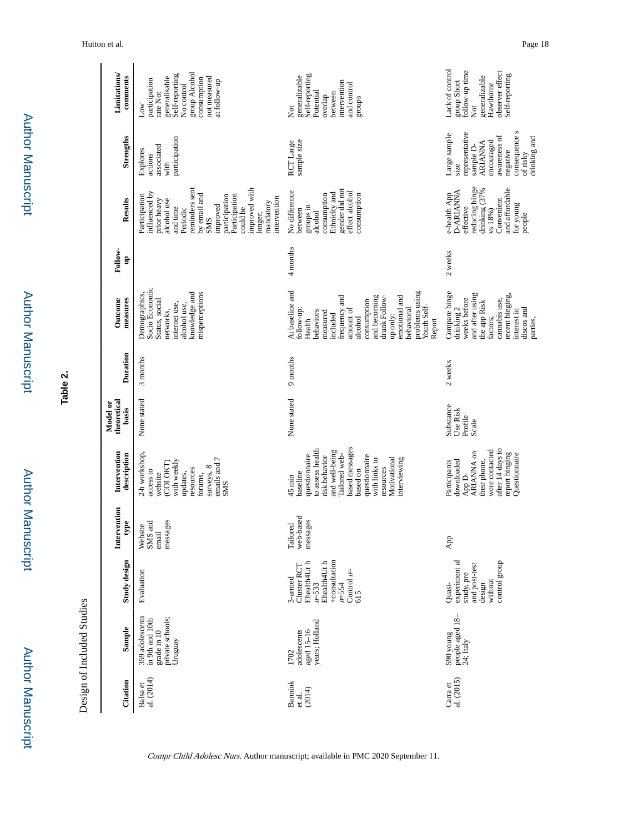| Citation                    | Sample                                                                           | Study design                                                                                                            | Intervention<br>type                        | Intervention<br>description                                                                                                                                                                                                | theoretical<br>Model or<br>basis          | Duration | Outcome<br>measures                                                                                                                                                                                                                                         | Follow-<br>Ê | Results                                                                                                                                                                                                                                                 | <b>Strengths</b>                                                                                                                                      | Limitations/<br>comments                                                                                                                          |
|-----------------------------|----------------------------------------------------------------------------------|-------------------------------------------------------------------------------------------------------------------------|---------------------------------------------|----------------------------------------------------------------------------------------------------------------------------------------------------------------------------------------------------------------------------|-------------------------------------------|----------|-------------------------------------------------------------------------------------------------------------------------------------------------------------------------------------------------------------------------------------------------------------|--------------|---------------------------------------------------------------------------------------------------------------------------------------------------------------------------------------------------------------------------------------------------------|-------------------------------------------------------------------------------------------------------------------------------------------------------|---------------------------------------------------------------------------------------------------------------------------------------------------|
| al. (2014)<br>Balsa et      | 359 adolescents<br>private schools;<br>in 9th and 10th<br>grade in 10<br>Uruguay | Evaluation                                                                                                              | ges<br>SMS and<br>Website<br>email<br>messa | 2-h workshop,<br>emails and 7<br>with weekly<br>(COLOKT)<br>surveys, 8<br>resources<br>access to<br>updates,<br>website<br>forums,<br><b>SMS</b>                                                                           | None stated                               | 3 months | Socio Economic<br>knowledge and<br>misperceptions<br>Demographics,<br>Status, social<br>internet use,<br>alcohol use,<br>networks,                                                                                                                          |              | reminders sent<br>improved with<br>influenced by<br>by email and<br>participation<br>Participation<br>Participation<br>intervention<br>prior heavy<br>alcohol use<br>mandatory<br>improved<br>and time<br>could be<br>Periodic<br>longer,<br><b>SMS</b> | participation<br>associated<br>Explores<br>actions<br>with                                                                                            | group Alcohol<br>Self-reporting<br>generalisable<br>not measured<br>consumption<br>participation<br>at follow-up<br>No control<br>rate Not<br>Low |
| Bannink<br>(2014)<br>et al. | years; Holland<br>aged 15-16<br>adolescents<br>1702                              | +consultation<br>Ehealth4Ut h<br>Ehealth4Ut h<br>Cluster RCT<br>Control $n =$<br>3-armed<br>$n=533$<br>$m = 554$<br>615 | web-based<br>ges<br>Tailored<br>messa       | based messages<br>to assess health<br>and well-being<br>lailored web-<br>questionnaire<br>risk behavior<br>questionnaire<br>with links to<br>Motivational<br>interviewing<br>resources<br>based on<br>paseline<br>$45$ min | None stated                               | 9 months | At baseline and<br>problems using<br>frequency and<br>emotional and<br>and becoming<br>drunk Follow-<br>consumption<br>Youth Self-<br>amount of<br>behavioral<br>follow-up:<br>behaviors<br>measured<br>included<br>up only:<br>alcohol<br>Health<br>Report | 4 months     | gender did not<br>No difference<br>effect alcohol<br>Ethnicity and<br>consumption<br>consumption<br>groups in<br>between<br>alcohol                                                                                                                     | sample size<br>RCT Large                                                                                                                              | Self-reporting<br>generalizable<br>intervention<br>and control<br>Potential<br>between<br>overlap<br>groups<br><b>z</b>                           |
| al. (2015)<br>Carra et      | people aged 18– $24;$ Italy<br>590 young                                         | control group<br>experiment al<br>and post-test<br>study, pre<br>without<br>Quasi-<br>design                            | App                                         | after 14 days to<br>were contacted<br><b>ARIANNA</b> on<br>report binging<br>Questionnaire<br>downloaded<br>their phone,<br>Participants<br>App D-                                                                         | Substance<br>Use Risk<br>Profile<br>Scale | 2 weeks  | Compare binge<br>recent binging,<br>and after using<br>weeks before<br>cannabis use,<br>the app Risk<br>drinking 2<br>discos and<br>interest in<br>factors;<br>parties,                                                                                     | 2 weeks      | educing binge<br>and affordable<br>drinking (37%<br><b>D-ARIANNA</b><br>e-health App<br>Convenient<br>for young<br>effective<br>vs 18%)<br>people                                                                                                       | consequence s<br>representative<br>Large sample<br>awareness of<br>drinking and<br>encouraged<br>ARIANNA<br>sample D-<br>negative<br>of risky<br>size | Lack of control<br>follow-up time<br>observer effect<br>Self-reporting<br>generalizable<br>group Short<br>Hawthorne<br>$\sum_{i=1}^{n}$           |

**Table 2.**

Design of Included Studies

Design of Included Studies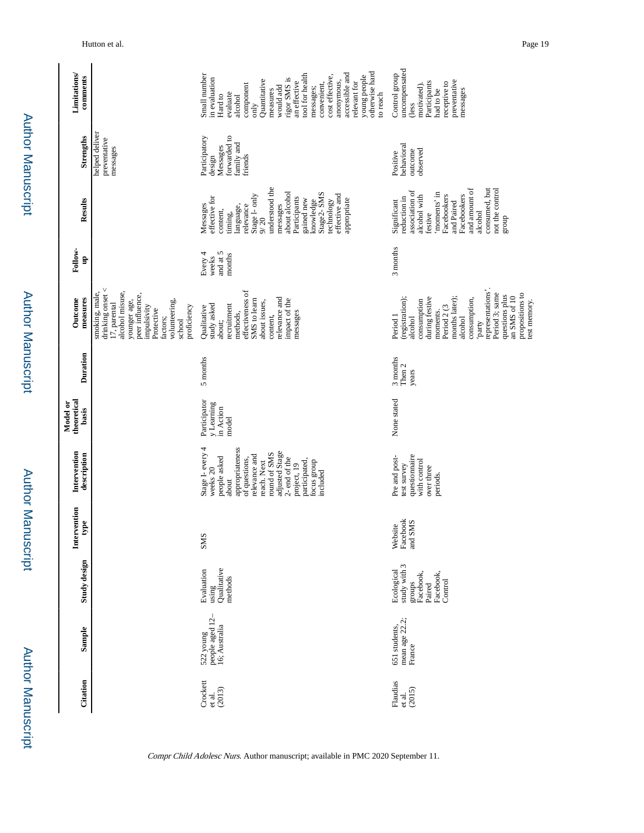| Limitations/<br>comments         |                                                                                                                                                                                               | otherwise hard<br>accessible and<br>tool for health<br>Small number<br>cost effective,<br>young people<br>in evaluation<br>rigor SMS is<br>Quantitative<br>anonymous,<br>an effective<br>relevant for<br>convenient,<br>component<br>would add<br>messages;<br>measures<br>to reach<br>evaluate<br>Hard to<br>alcohol<br>only | uncompensated<br>Control group<br>preventative<br>Participants<br>receptive to<br>motivated).<br>had to be<br>messages<br>(less                                                                                                              |
|----------------------------------|-----------------------------------------------------------------------------------------------------------------------------------------------------------------------------------------------|-------------------------------------------------------------------------------------------------------------------------------------------------------------------------------------------------------------------------------------------------------------------------------------------------------------------------------|----------------------------------------------------------------------------------------------------------------------------------------------------------------------------------------------------------------------------------------------|
| <b>Strengths</b>                 | helped deliver<br>preventative<br>messages                                                                                                                                                    | Participatory<br>forwarded to<br>family and<br>Messages<br>design<br>friends                                                                                                                                                                                                                                                  | behavioral<br>observed<br>outcome<br>Positive                                                                                                                                                                                                |
| Results                          |                                                                                                                                                                                               | understood the<br>about alcohol<br>Stage2-SMS<br>effective and<br>Stage 1- only<br>effective for<br>Participants<br>gained new<br>appropriate<br>technology<br>knowledge<br>messages<br>Messages<br>relevance<br>language,<br>content,<br>timing,<br>9/20                                                                     | and amount of<br>consumed, but<br>not the control<br>association of<br>moments' in<br>Facebookers<br>Facebookers<br>alcohol with<br>reduction in<br>Significant<br>and Paired<br>alcohol<br>festive<br>group                                 |
| Follow-<br>Ê                     |                                                                                                                                                                                               | and at 5<br>Every 4<br>months<br>weeks                                                                                                                                                                                                                                                                                        | 3 months                                                                                                                                                                                                                                     |
| measures<br>Outcome              | drinking onset $<$<br>alcohol misuse,<br>smoking, male,<br>peer influence,<br>younger age,<br>volunteering,<br>17, parental<br>impulsivity<br>proficiency<br>Protective<br>factors;<br>school | effectiveness of<br>relevance and<br>impact of the<br>SMS to learn<br>about issues,<br>study asked<br>recruitment<br>Qualitative<br>messages<br>methods,<br>content,<br>about;                                                                                                                                                | representations'<br>Period 3; same<br>questions plus<br>an SMS of 10<br>months later);<br>(registration);<br>during festive<br>consumption,<br>consumption<br>Period 2 <sub>(3</sub><br>moments.<br>Period 1<br>alcohol<br>alcohol<br>Antad, |
| Duration                         |                                                                                                                                                                                               | 5 months                                                                                                                                                                                                                                                                                                                      | 3 months<br>Then 2<br>years                                                                                                                                                                                                                  |
| theoretical<br>Model or<br>basis |                                                                                                                                                                                               | Participator<br>y Learning<br>in Action<br>model                                                                                                                                                                                                                                                                              | None stated                                                                                                                                                                                                                                  |
| Intervention<br>description      |                                                                                                                                                                                               | Stage I-every 4<br>appropriateness<br>round of SMS<br>adjusted Stage<br>relevance and<br>people asked<br>$2$ - end of the<br>of questions,<br>participated,<br>focus group<br>reach. Next<br>project, 19<br>weeks 20<br>included<br>about                                                                                     | questionnaire<br>Pre and post-<br>with control<br>test survey<br>over three<br>periods.                                                                                                                                                      |
| Intervention<br>ğре              |                                                                                                                                                                                               | <b>SMS</b>                                                                                                                                                                                                                                                                                                                    | Facebook<br>and SMS<br>Website                                                                                                                                                                                                               |
| Study design                     |                                                                                                                                                                                               | using<br>Qualitative<br>Evaluation<br>methods                                                                                                                                                                                                                                                                                 | study with 3<br>Ecological<br>Facebook,<br>Facebook,<br>Control<br>groups<br>Paired                                                                                                                                                          |
| Sample                           |                                                                                                                                                                                               | $522$ young<br>people aged $12-$<br>16; Australia                                                                                                                                                                                                                                                                             | mean age 22.2;<br>France<br>651 students,                                                                                                                                                                                                    |
| Citation                         |                                                                                                                                                                                               | Crockett<br>(2013)<br>et al.                                                                                                                                                                                                                                                                                                  | Flaudias<br>(2015)<br>et al.                                                                                                                                                                                                                 |

Author Manuscript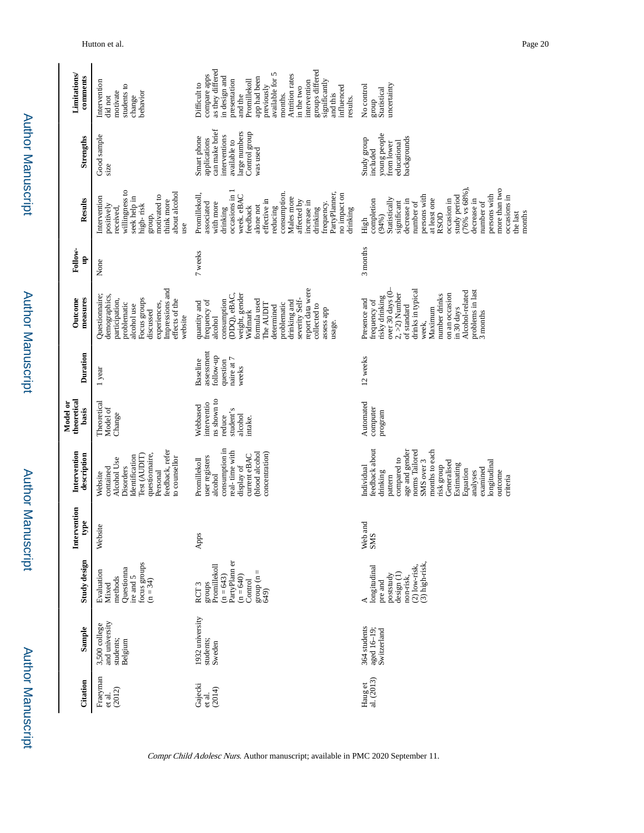| Limitations/<br>comments         | Intervention<br>students to<br>motivate<br>behavior<br>change<br>did not                                                                                                     | as they differed<br>groups differed<br>available for 5<br>compare apps<br>Attrition rates<br>in design and<br>app had been<br>presentation<br>Promillekoll<br>significantly<br>intervention<br>Difficult to<br>previously<br>influenced<br>in the two<br>months.<br>and this<br>and the<br>results. | uncertainty<br>No control<br>Statistical<br>group                                                                                                                                                                                                                                                      |
|----------------------------------|------------------------------------------------------------------------------------------------------------------------------------------------------------------------------|-----------------------------------------------------------------------------------------------------------------------------------------------------------------------------------------------------------------------------------------------------------------------------------------------------|--------------------------------------------------------------------------------------------------------------------------------------------------------------------------------------------------------------------------------------------------------------------------------------------------------|
| Strengths                        | Good sample<br>size                                                                                                                                                          | can make brief<br>large numbers<br>Control group<br>interventions<br>Smart phone<br>applications<br>available to<br>was used                                                                                                                                                                        | young people<br>from lower<br>backgrounds<br>Study group<br>educational<br>included                                                                                                                                                                                                                    |
| Results                          | willingness to<br>about alcohol<br>motivated to<br>Intervention<br>seek help in<br>think more<br>positively<br>high-risk<br>received<br>group,<br>use                        | occasions in 1<br>PartyPlanner,<br>consumption.<br>no impact on<br>Promillekoll,<br>week. eBAC<br>Males more<br>effective in<br>affected by<br>increase in<br>frequency.<br>with more<br>associated<br>alone not<br>feedback<br>reducing<br>drinking<br>drinking<br>drinking                        | more than two<br>$(76\% \text{ vs } 68\%),$<br>persons with<br>persons with<br>occasions in<br>study period<br>Statistically<br>at least one<br>occasion in<br>decrease in<br>completion<br>decrease in<br>number of<br>number of<br>significant<br>the last<br>months<br><b>RSOD</b><br>(94%)<br>High |
| Follow-<br>Ê                     | None                                                                                                                                                                         | 7 weeks                                                                                                                                                                                                                                                                                             | 3 months                                                                                                                                                                                                                                                                                               |
| Outcome<br>measures              | Impressions and<br>Questionnaire;<br>demographics,<br>Focus groups<br>participation,<br>effects of the<br>experiences,<br>problematic<br>alcohol use<br>discussed<br>website | report data were<br>weight, gender<br>(DDQ), eBAC,<br>formula used<br>severity Self-<br>consumption<br>frequency of<br>drinking and<br>quantity and<br>problematic<br>The AUDIT<br>collected to<br>determined<br>assess app<br>Widmark<br>alcohol<br>usage.                                         | over 30 days (0-<br>drinks in typical<br>problems in last<br>Alcohol-related<br>$2, >2$ ) Number<br>on an occasion<br>number drinks<br>risky drinking<br>Presence and<br>frequency of<br>of standard<br>in 30 days<br>Maximum<br>3 months<br>week,                                                     |
| Duration                         | 1 year                                                                                                                                                                       | assessment<br>follow-up<br>naire at 7<br>Baseline<br>question<br>weeks                                                                                                                                                                                                                              | 12 weeks                                                                                                                                                                                                                                                                                               |
| theoretical<br>Model or<br>basis | Theoretical<br>Model of<br>Change                                                                                                                                            | ns shown to<br>interventio<br>Webbased<br>student's<br>alcohol<br>reduce<br>intake.                                                                                                                                                                                                                 | Automated<br>computer<br>program                                                                                                                                                                                                                                                                       |
| Intervention<br>description      | feedback, refer<br>questionnaire,<br>Test (AUDIT)<br>Identification<br>to counsellor<br>Alcohol Use<br>Disorders<br>contained<br>Personal<br>Website                         | consumption in<br>real-time with<br>concentration)<br>(blood alcohol<br>current eBAC<br>user registers<br>Promillekoll<br>display of<br>alcohol                                                                                                                                                     | eedback about<br>age and gender<br>norms Tailored<br>months to each<br>compared to<br>SMS over 3<br>longitudinal<br>Generalised<br>Estimating<br>risk group<br>ndividual<br>examined<br>Equation<br>outcome<br>drinking<br>analyses<br>criteria<br>pattern                                             |
| Intervention<br>b                | Website                                                                                                                                                                      | Apps                                                                                                                                                                                                                                                                                                | Web and<br><b>SMS</b>                                                                                                                                                                                                                                                                                  |
| Study design                     | focus groups<br>( $n = 34$ )<br>Questionna<br>Evaluation<br>ire and 5<br>methods<br>Mixed                                                                                    | PartyPlann er<br>Promillekoll<br>$=$ u) dnora<br>$(n = 643)$<br>$(n = 640)$<br>Control<br>groups<br>RCT <sub>3</sub><br>649)                                                                                                                                                                        | $(2)$ low-risk,<br>(3) high-risk,<br>longitudinal<br>design (1)<br>poststudy<br>non-risk,<br>pre and                                                                                                                                                                                                   |
| Sample                           | and university<br>3,500 college<br>students;<br>Belgium                                                                                                                      | 1932 university<br>students;<br>Sweden                                                                                                                                                                                                                                                              | 364 students<br>aged 16-19;<br>Switzerland                                                                                                                                                                                                                                                             |
| Citation                         | Fraeyman<br>(2012)<br>et al.                                                                                                                                                 | Gajecki<br>et al.<br>(2014)                                                                                                                                                                                                                                                                         | Haug et<br>al. (2013)                                                                                                                                                                                                                                                                                  |

Author Manuscript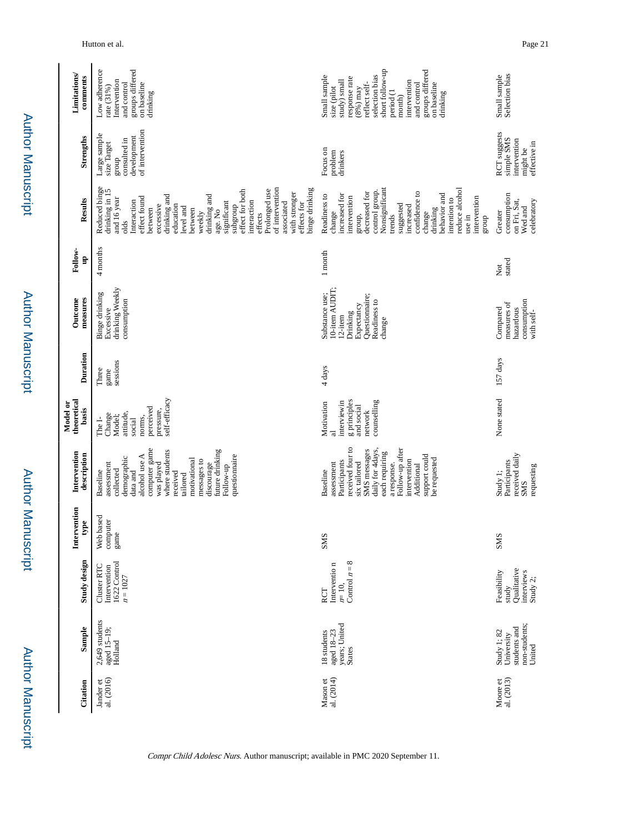| Limitations/<br>comments         | Low adherence<br>groups differed<br>Intervention<br>on baseline<br>and control<br>rate (31%)<br>drinking                                                                                                                                                                                                                                                                           | short follow-up<br>groups differed<br>selection bias<br>Small sample<br>response rate<br>study) small<br>intervention<br>reflect self-<br>on baseline<br>and control<br>size (pilot<br>$(8\%)$ may<br>period (1<br>drinking<br>month)                                                  | Small sample<br>Selection bias                                         |
|----------------------------------|------------------------------------------------------------------------------------------------------------------------------------------------------------------------------------------------------------------------------------------------------------------------------------------------------------------------------------------------------------------------------------|----------------------------------------------------------------------------------------------------------------------------------------------------------------------------------------------------------------------------------------------------------------------------------------|------------------------------------------------------------------------|
| Strengths                        | of intervention<br>Large sample<br>size Target<br>development<br>consulted in<br>group                                                                                                                                                                                                                                                                                             | Focus on<br>problem<br>drinkers                                                                                                                                                                                                                                                        | RCT suggests<br>simple SMS<br>intervention<br>effective in<br>might be |
| Results                          | Reduced binge<br>drinking in 15<br>of intervention<br>binge drinking<br>effect for both<br>Prolonged use<br>with stronger<br>drinking and<br>drinking and<br>effect found<br>and 16 year<br>interaction<br>nteraction<br>associated<br>significant<br>effects for<br>education<br>excessive<br>dnoraqns<br>level and<br>between<br>between<br>age. No<br>weekly<br>effects<br>olds | Nonsignificant<br>reduce alcohol<br>control group.<br>confidence to<br>decreased for<br>increased for<br>Readiness to<br>behavior and<br>intervention<br>intervention<br>intention to<br>suggested<br>increased<br>drinking<br>change<br>change<br>group,<br>group<br>trends<br>use in | consumption<br>on Fri, Sat,<br>celebratory<br>Wed and<br>Greater       |
| Follow-<br>Ê                     | 4 months                                                                                                                                                                                                                                                                                                                                                                           | 1 month                                                                                                                                                                                                                                                                                | stated<br>$\breve{\rm z}$                                              |
| Outcome<br>measures              | drinking Weekly<br>Binge drinking<br>consumption<br>Excessive                                                                                                                                                                                                                                                                                                                      | 10-item AUDIT;<br>Substance use;<br>Questionnaire;<br>Readiness to<br>Expectancy<br>Drinking<br>.2-item<br>change                                                                                                                                                                      | consumption<br>with self-<br>measures of<br>Compared<br>hazardous      |
| Duration                         | sessions<br>Three<br>game                                                                                                                                                                                                                                                                                                                                                          | 4 days                                                                                                                                                                                                                                                                                 | 157 days                                                               |
| theoretical<br>Model or<br>basis | self-efficacy<br>perceived<br>pressure,<br>attitude.<br>Change<br>Model;<br>norms,<br>The I-<br>social                                                                                                                                                                                                                                                                             | g principles<br>interviewin<br>counselling<br>Motivation<br>and social<br>network<br>ಸ                                                                                                                                                                                                 | None stated                                                            |
| Intervention<br>description      | computer game<br>where students<br>future drinking<br>alcohol use A<br>questionnaire<br>demographic<br>motivational<br>messages to<br>was played<br>discourage<br>assessment<br>Follow-up<br>collected<br>data and<br>Baseline<br>received<br>tailored                                                                                                                             | received four to<br>Follow-up after<br>daily for 4days,<br>SMS messages<br>each requiring<br>support could<br>be requested<br>intervention<br>Participants<br>six tailored<br>assessment<br>a response.<br>Additional<br>Baseline                                                      | received daily<br>Participants<br>requesting<br>Study 1;<br><b>SMS</b> |
| Intervention<br>type             | based<br>computer<br>Web<br>game                                                                                                                                                                                                                                                                                                                                                   | <b>SMS</b>                                                                                                                                                                                                                                                                             | <b>SMS</b>                                                             |
| Study design                     | Intervention<br>1622 Control<br>Cluster RTC<br>$n = 1027$                                                                                                                                                                                                                                                                                                                          | $^{\circ}$<br>Interventio n<br>Control $n =$<br>$\mathit{n}=10,$<br>RCT                                                                                                                                                                                                                | Qualitative<br>Feasibility<br>interviews<br>Study 2;<br>study          |
| Sample                           | 2,649 students<br>aged 15-19;<br>Holland                                                                                                                                                                                                                                                                                                                                           | years; United<br>States<br>aged 18-23<br>18 students                                                                                                                                                                                                                                   | non-students;<br>students and<br>Study 1; 82<br>University<br>United   |
| Citation                         | al. (2016)<br>Jander et                                                                                                                                                                                                                                                                                                                                                            | al. (2014)<br>Mason et                                                                                                                                                                                                                                                                 | al. (2013)<br>Moore et                                                 |

Author Manuscript

**Author Manuscript** 

Author Manuscript

Author Manuscript

Author Manuscript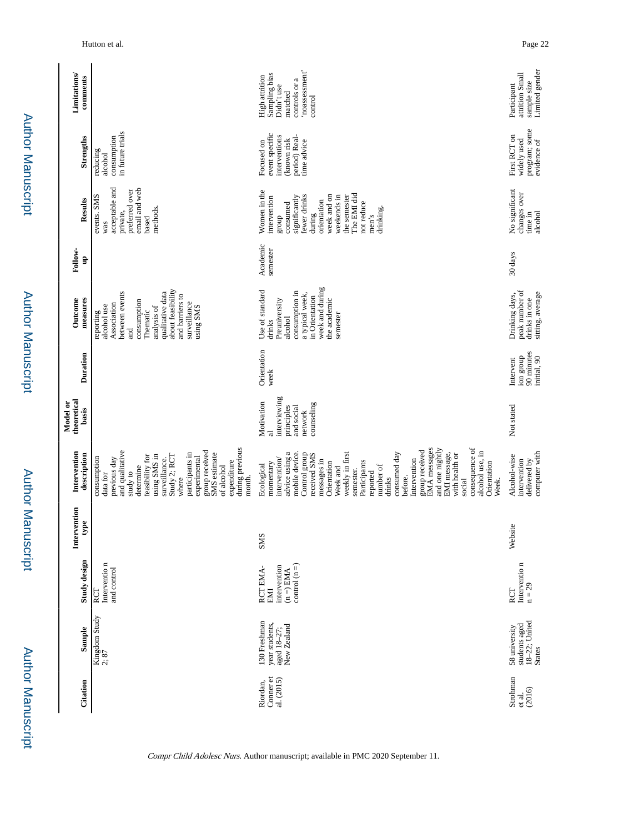| Limitations/<br>comments         |                                                                                                                                                                                                                                                                                                 | 'noassessment'<br>Sampling bias<br>High attrition<br>controls or a<br>Didn't use<br>matched<br>control                                                                                                                                                                                                                                                                                                                                              | Limited gender<br>attrition Small<br>sample size<br>Participant       |
|----------------------------------|-------------------------------------------------------------------------------------------------------------------------------------------------------------------------------------------------------------------------------------------------------------------------------------------------|-----------------------------------------------------------------------------------------------------------------------------------------------------------------------------------------------------------------------------------------------------------------------------------------------------------------------------------------------------------------------------------------------------------------------------------------------------|-----------------------------------------------------------------------|
| Strengths                        | in future trials<br>consumption<br>reducing<br>alcohol                                                                                                                                                                                                                                          | event specific<br>interventions<br>period) Real-<br>(known risk<br>Focused on<br>time advice                                                                                                                                                                                                                                                                                                                                                        | program; some<br>First RCT on<br>widely used<br>evidence of           |
| Results                          | acceptable and<br>email and web<br>preferred over<br>events. SMS<br>methods.<br>private,<br>based<br>was                                                                                                                                                                                        | Women in the<br>The EMI did<br>week and on<br>the semester<br>intervention<br>fewer drinks<br>weekends in<br>significantly<br>during<br>orientation<br>not reduce<br>consumed<br>drinking.<br>men's<br>group                                                                                                                                                                                                                                        | No significant<br>changes over<br>time in<br>alcohol                  |
| Follow-<br>Ê                     |                                                                                                                                                                                                                                                                                                 | Academic<br>semester                                                                                                                                                                                                                                                                                                                                                                                                                                | 30 days                                                               |
| Outcome<br>measures              | about feasibility<br>qualitative data<br>between events<br>and barriers to<br>consumption<br>surveillance<br>Association<br>alcohol use<br>analysis of<br>using SMS<br>Thematic<br>reporting<br>and                                                                                             | week and during<br>Use of standard<br>consumption in<br>a typical week,<br>in Orientation<br>the academic<br>Preuniversity<br>semester<br>alcohol<br>drinks                                                                                                                                                                                                                                                                                         | peak number of<br>sitting, average<br>Drinking days,<br>drinks in one |
| Duration                         |                                                                                                                                                                                                                                                                                                 | Orientation<br>week                                                                                                                                                                                                                                                                                                                                                                                                                                 | 90 minutes<br>initial, 90<br>dno.fa uor<br>Intervent                  |
| theoretical<br>Model or<br>basis |                                                                                                                                                                                                                                                                                                 | interviewing<br>Motivation<br>counseling<br>principles<br>and social<br>network<br>ಡ                                                                                                                                                                                                                                                                                                                                                                | Not stated                                                            |
| Intervention<br>description      | during previous<br>group received<br>and qualitative<br>participants in<br>SMS estimate<br>Study 2; RCT<br>using SMS in<br>feasibility for<br>experimental<br>consumption<br>previous day<br>surveillance.<br>expenditure<br>of alcohol<br>determine<br>study to<br>data for<br>month.<br>where | EMA messages<br>consequence of<br>and one nightly<br>group received<br>alcohol use, in<br>mobile device.<br>consumed day<br>advice using a<br>weekly in first<br>EMI message,<br>Control group<br>received SMS<br>with health or<br>intervention/<br>Intervention<br>messages in<br>Participants<br>Orientation<br>Orientation<br>momentary<br>Ecological<br>number of<br>Week and<br>semester.<br>reported<br>before.<br>drinks<br>Week.<br>social | computer with<br>Alcohol-wise<br>delivered by<br>intervention         |
| Intervention<br>type             |                                                                                                                                                                                                                                                                                                 | <b>SMS</b>                                                                                                                                                                                                                                                                                                                                                                                                                                          | Website                                                               |
| Study design                     | Interventio n<br>and control<br>RCT                                                                                                                                                                                                                                                             | control $(n =)$<br>intervention<br>RCT EMA-<br>$(n =)$ EMA<br>EMI                                                                                                                                                                                                                                                                                                                                                                                   | Interventio n<br>$n = 29$<br>RCT                                      |
| Sample                           | $\begin{array}{c} \rm Kingdom~S\,udy\\ 2; 87 \end{array}$                                                                                                                                                                                                                                       | 130 Freshman<br>year students,<br>New Zealand<br>aged 18-27;                                                                                                                                                                                                                                                                                                                                                                                        | 18-22; United<br>students aged<br>58 university<br><b>States</b>      |
| Citation                         |                                                                                                                                                                                                                                                                                                 | Conner et<br>al. (2015)<br>Riordan,                                                                                                                                                                                                                                                                                                                                                                                                                 | Strohman<br>(2016)<br>et al.                                          |

Author Manuscript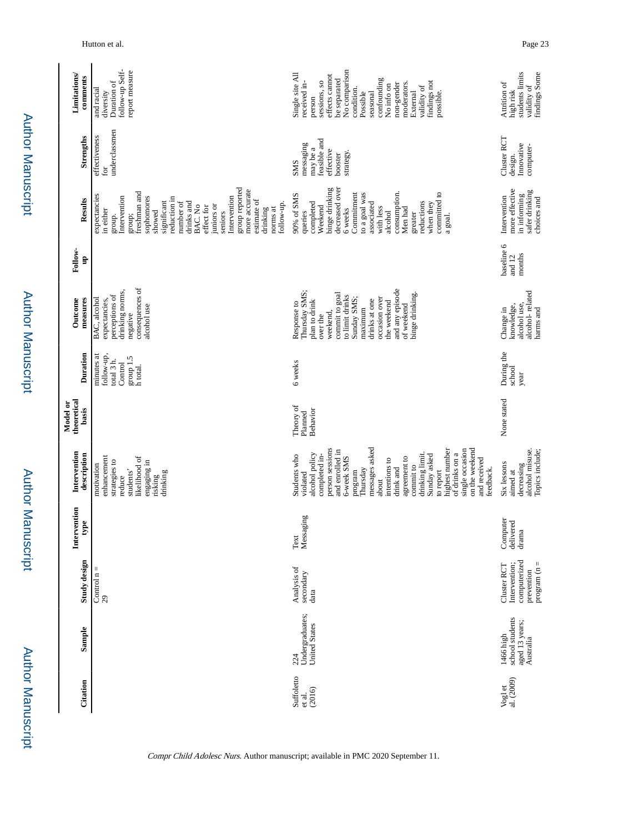| <b>Limitations</b> /<br>comments | follow-up Self-<br>report measure<br>Duration of<br>and racial<br>diversity                                                                                                                                                                                                                                               | No comparison<br>Single site All<br>effects cannot<br>confounding<br>be separated<br>findings not<br>received in-<br>sessions, so<br>non-gender<br>moderators.<br>No info on<br>validity of<br>condition.<br>External<br>possible.<br>seasonal<br>Possible<br>person                                                                                                               | students limits<br>findings Some<br>Attrition of<br>validity of<br>high risk    |
|----------------------------------|---------------------------------------------------------------------------------------------------------------------------------------------------------------------------------------------------------------------------------------------------------------------------------------------------------------------------|------------------------------------------------------------------------------------------------------------------------------------------------------------------------------------------------------------------------------------------------------------------------------------------------------------------------------------------------------------------------------------|---------------------------------------------------------------------------------|
| Strengths                        | underclassmen<br>effectiveness<br>for                                                                                                                                                                                                                                                                                     | feasible and<br>messaging<br>may be a<br>effective<br>strategy.<br>booster<br><b>SMS</b>                                                                                                                                                                                                                                                                                           | Cluster RCT<br>Innovative<br>computer-<br>design.                               |
| Results                          | group reported<br>more accurate<br>treshman and<br>expectancies<br>Intervention<br>Intervention<br>sophomores<br>reduction in<br>estimate of<br>significant<br>number of<br>drinks and<br>follow-up.<br>BAC. No<br>juniors or<br>effect for<br>drinking<br>norms at<br>in either<br>showed<br>seniors<br>group;<br>group. | decreased over<br>binge drinking<br>consumption.<br>committed to<br>Commitment<br>to a goal was<br>90% of SMS<br>completed<br>reductions<br>associated<br>when they<br>Weekend<br>with less<br>Men had<br>6 weeks<br>queries<br>alcohol<br>greater<br>a goal.                                                                                                                      | more effective<br>safer drinking<br>in informing<br>Intervention<br>choices and |
| Follow-<br>Ê                     |                                                                                                                                                                                                                                                                                                                           |                                                                                                                                                                                                                                                                                                                                                                                    | baseline 6<br>months<br>and $12$                                                |
| Outcome<br>measures              | consequences of<br>drinking norms,<br>perceptions of<br>BAC, alcohol<br>expectancies,<br>alcohol use<br>negative                                                                                                                                                                                                          | and any episode<br>Thursday SMS;<br>commit to goal<br>binge drinking.<br>to limit drinks<br>Sunday SMS;<br>occasion over<br>drinks at one<br>plan to drink<br>the weekend<br>Response to<br>of weekend<br>maximum<br>weekend,<br>over the                                                                                                                                          | alcohol-related<br>knowledge,<br>alcohol use,<br>harms and<br>Change in         |
| Duration                         | minutes at<br>follow-up,<br>group 1.5<br>total3 h.<br>Control<br>h total.                                                                                                                                                                                                                                                 | 6 weeks                                                                                                                                                                                                                                                                                                                                                                            | During the<br>school<br>year                                                    |
| theoretical<br>Model or<br>basis |                                                                                                                                                                                                                                                                                                                           | Theory of<br>Behavior<br>Planned                                                                                                                                                                                                                                                                                                                                                   | None stated                                                                     |
| Intervention<br>description      | enhancement<br>likelihood of<br>strategies to<br>engaging in<br>motivation<br>students'<br>drinking<br>risking<br>reduce                                                                                                                                                                                                  | messages asked<br>person sessions<br>highest number<br>on the weekend<br>single occasion<br>and enrolled in<br>of drinks on a<br>alcohol policy<br>drinking limit.<br>completed in-<br>Sunday asked<br>Students who<br>agreement to<br>6-week SMS<br>and received<br>intentions to<br>commit to<br>drink and<br>feedback.<br>Thursday<br>to report<br>program<br>violated<br>about | alcohol misuse.<br>Topics include;<br>Six lessons<br>decreasing<br>aimed at     |
| Intervention<br>lype             |                                                                                                                                                                                                                                                                                                                           | Messaging<br>Text                                                                                                                                                                                                                                                                                                                                                                  | Computer<br>delivered<br>drama                                                  |
| Study design                     | Control n :<br>29                                                                                                                                                                                                                                                                                                         | Analysis of<br>secondary<br>data                                                                                                                                                                                                                                                                                                                                                   | computerized<br>$program (n =$<br>Intervention;<br>Cluster RCT<br>prevention    |
| Sample                           |                                                                                                                                                                                                                                                                                                                           | Undergraduates;<br>United States<br>224                                                                                                                                                                                                                                                                                                                                            | school students<br>aged 13 years;<br>1466 high<br>Australia                     |
| Citation                         |                                                                                                                                                                                                                                                                                                                           | Suffoletto<br>(2016)<br>et al.                                                                                                                                                                                                                                                                                                                                                     | al. (2009)<br>Vogl et                                                           |

Author Manuscript

Author Manuscript

Author Manuscript

Author Manuscript

Author Manuscript

Author Manuscript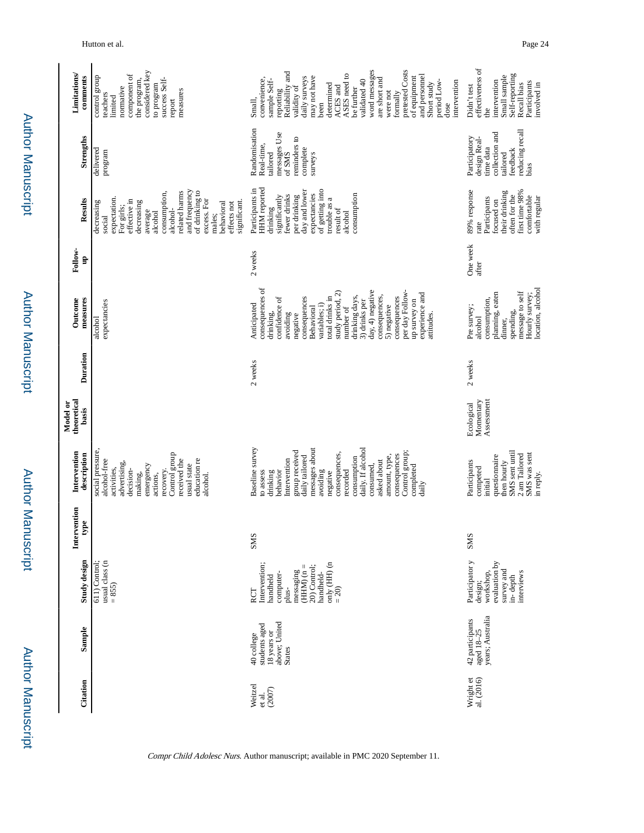| Limitations/<br>comments         | considered key<br>component of<br>control group<br>to program<br>success Self-<br>the program,<br>normative<br>measures<br>teachers<br>limited<br>report                                                                                                     | word messages<br>pretested Costs<br>Reliability and<br>ASES need to<br>may not have<br>and personnel<br>daily surveys<br>of equipment<br>are short and<br>convenience,<br>validated 40<br>sample Self-<br>period Low-<br>intervention<br>Short study<br>determined<br>validity of<br>ACES and<br>be further<br>reporting<br>were not<br>formally<br>Small,<br>dose<br>been | effectiveness of<br>Self-reporting<br>Small sample<br>intervention<br>Participants<br>Recall bias<br>involved in<br>Didn't test<br>the      |
|----------------------------------|--------------------------------------------------------------------------------------------------------------------------------------------------------------------------------------------------------------------------------------------------------------|----------------------------------------------------------------------------------------------------------------------------------------------------------------------------------------------------------------------------------------------------------------------------------------------------------------------------------------------------------------------------|---------------------------------------------------------------------------------------------------------------------------------------------|
| Strengths                        | delivered<br>program                                                                                                                                                                                                                                         | Randomisation<br>messages Use<br>of SMS<br>reminders to<br>Real-time,<br>complete<br>tailored<br>surveys                                                                                                                                                                                                                                                                   | reducing recall<br>collection and<br>Participatory<br>design Real-<br>time data<br>feedback<br>tailored<br>bias                             |
| Results                          | and frequency<br>of drinking to<br>consumption,<br>related harms<br>expectation.<br>excess. For<br>effective in<br>significant.<br>decreasing<br>decreasing<br>behavioral<br>effects not<br>For girls;<br>alcohol-<br>average<br>alcohol<br>males:<br>social | <b>HHM</b> reported<br>Participants in<br>of getting into<br>day and lower<br>expectancies<br>consumption<br>fewer drinks<br>per drinking<br>significantly<br>trouble as a<br>drinking<br>result of<br>alcohol                                                                                                                                                             | 89% response<br>first time 98%<br>their drinking<br>often for the<br>comfortable<br>with regular<br>Participants<br>focused on<br>rate      |
| Follow-<br>Ê                     |                                                                                                                                                                                                                                                              | 2 weeks                                                                                                                                                                                                                                                                                                                                                                    | One week<br>after                                                                                                                           |
| Outcome<br>measures              | expectancies<br>alcohol                                                                                                                                                                                                                                      | consequences of<br>day, 4) negative<br>per day Follow-<br>study period, 2)<br>experience and<br>drinking days,<br>consequences,<br>total drinks in<br>consequences<br>consequences<br>confidence of<br>up survey on<br>3) drinks per<br>Anticipated<br>variables; i)<br>5) negative<br>Behavioral<br>number of<br>drinking,<br>attitudes.<br>avoiding<br>negative          | location, alcohol<br>message to self<br>Hourly survey;<br>planning, eaten<br>consumption,<br>Pre survey;<br>spending,<br>alcohol<br>dinner. |
| Duration                         |                                                                                                                                                                                                                                                              | 2 weeks                                                                                                                                                                                                                                                                                                                                                                    | 2 weeks                                                                                                                                     |
| theoretical<br>Model or<br>basis |                                                                                                                                                                                                                                                              |                                                                                                                                                                                                                                                                                                                                                                            | Momentary<br>Assessment<br>Ecological                                                                                                       |
| Intervention<br>description      | social pressure.<br>Control group<br>alcohol-free<br>education re<br>received the<br>advertising,<br>emergency<br>usual state<br>activities,<br>recovery.<br>decision-<br>making,<br>actions,<br>alcohol.                                                    | Baseline survey<br>daily. If alcohol<br>messages about<br>Control group;<br>group received<br>consequences,<br>consequences<br>daily tailored<br>amount, type,<br>consumption<br>Intervention<br>asked about<br>consumed.<br>completed<br>avoiding<br>recorded<br>to assess<br>behavior<br>drinking<br>negative<br>daily                                                   | SMS sent until<br>SMS was sent<br>2 am Tailored<br>questionnaire<br>Participants<br>then hourly<br>competed<br>in reply.<br>initial         |
| <b>vention</b><br>type<br>Inter  |                                                                                                                                                                                                                                                              | <b>SMS</b>                                                                                                                                                                                                                                                                                                                                                                 | <b>SMS</b>                                                                                                                                  |
| Study design                     | 611) Control;<br>usual class (n<br>$= 855$                                                                                                                                                                                                                   | Intervention;<br>only (HH) (n<br>$(HHM)$ ( $n =$<br>20) Control;<br>.<br>messaging<br>handheld-<br>computer-<br>handheld<br>plus-<br>$= 20$<br>RCT                                                                                                                                                                                                                         | Participator y<br>evaluation by<br>survey and<br>design;<br>workshop,<br>interviews<br>in-depth                                             |
| Sample                           |                                                                                                                                                                                                                                                              | above; United<br>States<br>students aged<br>18 years or<br>40 college                                                                                                                                                                                                                                                                                                      | years; Australia<br>42 participants<br>aged $18-\dot{2}5$                                                                                   |
| Citation                         |                                                                                                                                                                                                                                                              | Weitzel<br>et al.<br>(2007)                                                                                                                                                                                                                                                                                                                                                | Wright et<br>al. (2016)                                                                                                                     |

Author Manuscript

Author Manuscript

Author Manuscript